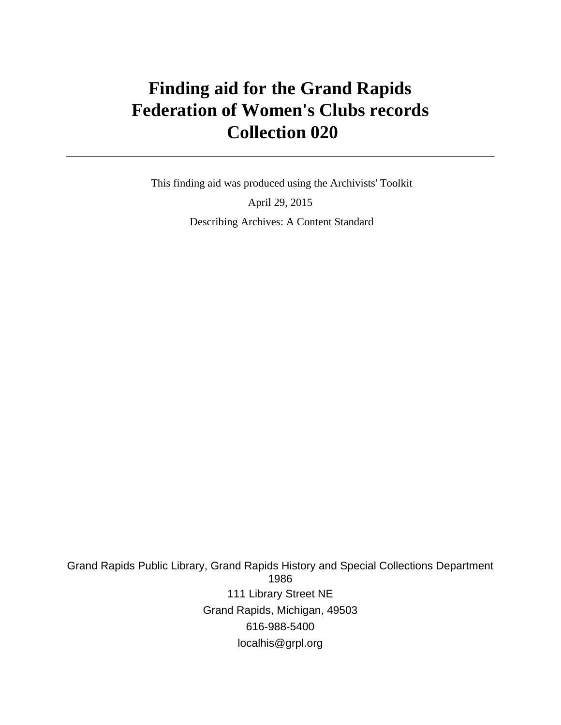# **Finding aid for the Grand Rapids Federation of Women's Clubs records Collection 020**

 This finding aid was produced using the Archivists' Toolkit April 29, 2015 Describing Archives: A Content Standard

Grand Rapids Public Library, Grand Rapids History and Special Collections Department 1986 111 Library Street NE Grand Rapids, Michigan, 49503 616-988-5400 localhis@grpl.org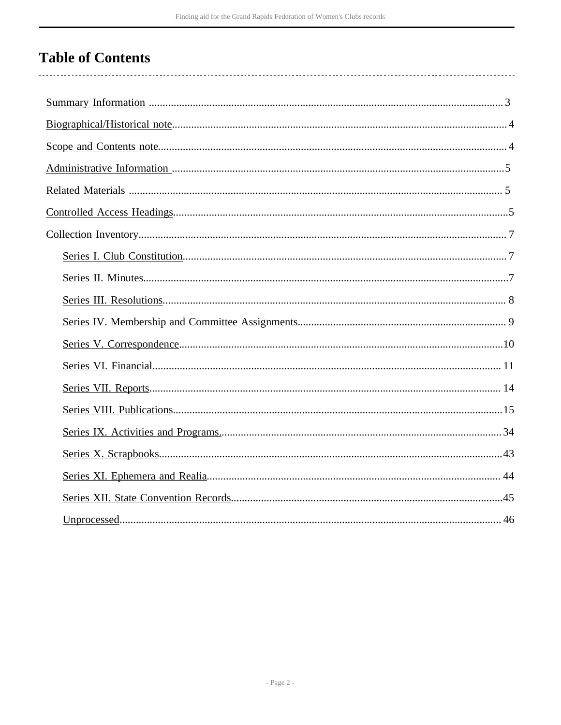# **Table of Contents**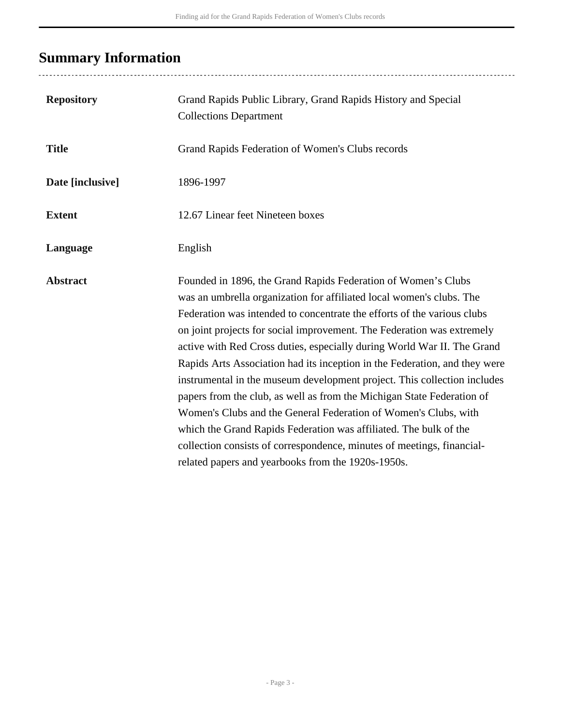# <span id="page-2-0"></span>**Summary Information**

| <b>Repository</b> | Grand Rapids Public Library, Grand Rapids History and Special<br><b>Collections Department</b>                                                                                                                                                                                                                                                                                                                                                                                                                                                                                                                                                                                                                                                                                                                                                                                    |
|-------------------|-----------------------------------------------------------------------------------------------------------------------------------------------------------------------------------------------------------------------------------------------------------------------------------------------------------------------------------------------------------------------------------------------------------------------------------------------------------------------------------------------------------------------------------------------------------------------------------------------------------------------------------------------------------------------------------------------------------------------------------------------------------------------------------------------------------------------------------------------------------------------------------|
| <b>Title</b>      | Grand Rapids Federation of Women's Clubs records                                                                                                                                                                                                                                                                                                                                                                                                                                                                                                                                                                                                                                                                                                                                                                                                                                  |
| Date [inclusive]  | 1896-1997                                                                                                                                                                                                                                                                                                                                                                                                                                                                                                                                                                                                                                                                                                                                                                                                                                                                         |
| <b>Extent</b>     | 12.67 Linear feet Nineteen boxes                                                                                                                                                                                                                                                                                                                                                                                                                                                                                                                                                                                                                                                                                                                                                                                                                                                  |
| Language          | English                                                                                                                                                                                                                                                                                                                                                                                                                                                                                                                                                                                                                                                                                                                                                                                                                                                                           |
| <b>Abstract</b>   | Founded in 1896, the Grand Rapids Federation of Women's Clubs<br>was an umbrella organization for affiliated local women's clubs. The<br>Federation was intended to concentrate the efforts of the various clubs<br>on joint projects for social improvement. The Federation was extremely<br>active with Red Cross duties, especially during World War II. The Grand<br>Rapids Arts Association had its inception in the Federation, and they were<br>instrumental in the museum development project. This collection includes<br>papers from the club, as well as from the Michigan State Federation of<br>Women's Clubs and the General Federation of Women's Clubs, with<br>which the Grand Rapids Federation was affiliated. The bulk of the<br>collection consists of correspondence, minutes of meetings, financial-<br>related papers and yearbooks from the 1920s-1950s. |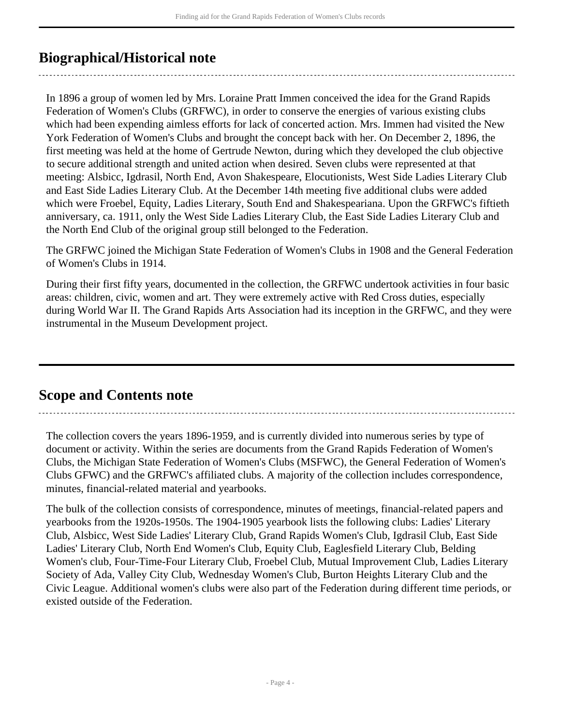## <span id="page-3-0"></span>**Biographical/Historical note**

In 1896 a group of women led by Mrs. Loraine Pratt Immen conceived the idea for the Grand Rapids Federation of Women's Clubs (GRFWC), in order to conserve the energies of various existing clubs which had been expending aimless efforts for lack of concerted action. Mrs. Immen had visited the New York Federation of Women's Clubs and brought the concept back with her. On December 2, 1896, the first meeting was held at the home of Gertrude Newton, during which they developed the club objective to secure additional strength and united action when desired. Seven clubs were represented at that meeting: Alsbicc, Igdrasil, North End, Avon Shakespeare, Elocutionists, West Side Ladies Literary Club and East Side Ladies Literary Club. At the December 14th meeting five additional clubs were added which were Froebel, Equity, Ladies Literary, South End and Shakespeariana. Upon the GRFWC's fiftieth anniversary, ca. 1911, only the West Side Ladies Literary Club, the East Side Ladies Literary Club and the North End Club of the original group still belonged to the Federation.

The GRFWC joined the Michigan State Federation of Women's Clubs in 1908 and the General Federation of Women's Clubs in 1914.

During their first fifty years, documented in the collection, the GRFWC undertook activities in four basic areas: children, civic, women and art. They were extremely active with Red Cross duties, especially during World War II. The Grand Rapids Arts Association had its inception in the GRFWC, and they were instrumental in the Museum Development project.

## <span id="page-3-1"></span>**Scope and Contents note**

The collection covers the years 1896-1959, and is currently divided into numerous series by type of document or activity. Within the series are documents from the Grand Rapids Federation of Women's Clubs, the Michigan State Federation of Women's Clubs (MSFWC), the General Federation of Women's Clubs GFWC) and the GRFWC's affiliated clubs. A majority of the collection includes correspondence, minutes, financial-related material and yearbooks.

The bulk of the collection consists of correspondence, minutes of meetings, financial-related papers and yearbooks from the 1920s-1950s. The 1904-1905 yearbook lists the following clubs: Ladies' Literary Club, Alsbicc, West Side Ladies' Literary Club, Grand Rapids Women's Club, Igdrasil Club, East Side Ladies' Literary Club, North End Women's Club, Equity Club, Eaglesfield Literary Club, Belding Women's club, Four-Time-Four Literary Club, Froebel Club, Mutual Improvement Club, Ladies Literary Society of Ada, Valley City Club, Wednesday Women's Club, Burton Heights Literary Club and the Civic League. Additional women's clubs were also part of the Federation during different time periods, or existed outside of the Federation.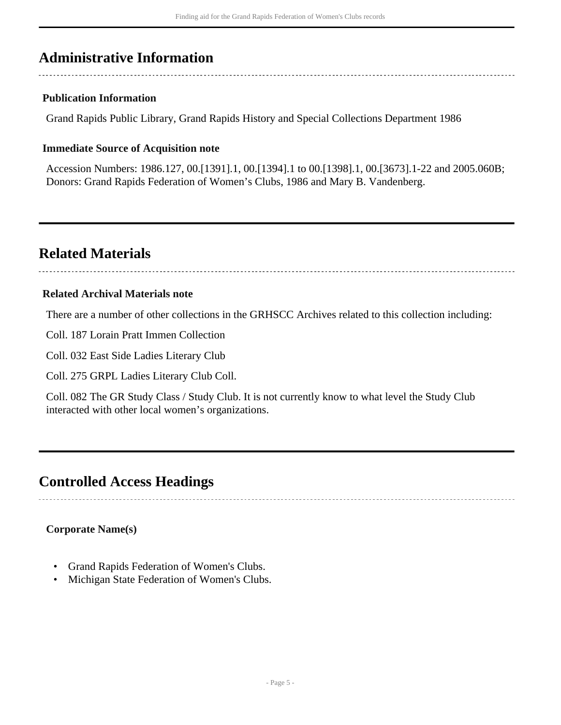## <span id="page-4-0"></span>**Administrative Information**

### **Publication Information**

Grand Rapids Public Library, Grand Rapids History and Special Collections Department 1986

### **Immediate Source of Acquisition note**

Accession Numbers: 1986.127, 00.[1391].1, 00.[1394].1 to 00.[1398].1, 00.[3673].1-22 and 2005.060B; Donors: Grand Rapids Federation of Women's Clubs, 1986 and Mary B. Vandenberg.

## <span id="page-4-1"></span>**Related Materials**

### **Related Archival Materials note**

There are a number of other collections in the GRHSCC Archives related to this collection including:

Coll. 187 Lorain Pratt Immen Collection

Coll. 032 East Side Ladies Literary Club

Coll. 275 GRPL Ladies Literary Club Coll.

Coll. 082 The GR Study Class / Study Club. It is not currently know to what level the Study Club interacted with other local women's organizations.

## <span id="page-4-2"></span>**Controlled Access Headings**

## **Corporate Name(s)**

- Grand Rapids Federation of Women's Clubs.
- Michigan State Federation of Women's Clubs.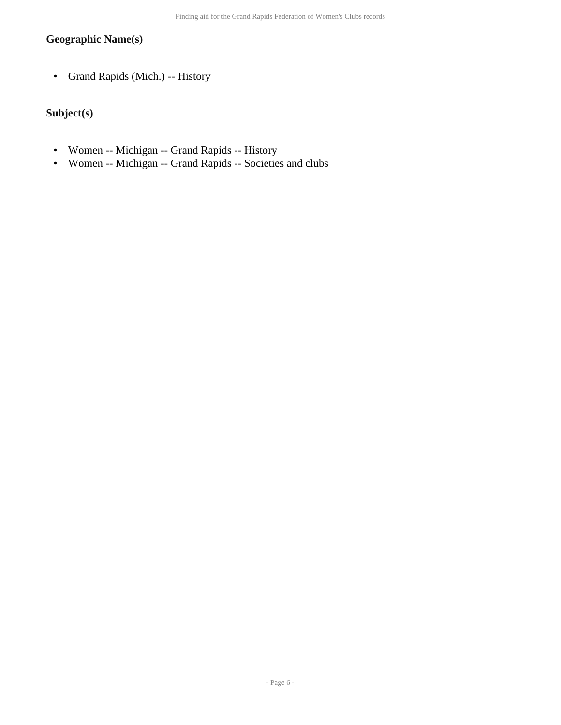## **Geographic Name(s)**

• Grand Rapids (Mich.) -- History

## **Subject(s)**

- Women -- Michigan -- Grand Rapids -- History
- Women -- Michigan -- Grand Rapids -- Societies and clubs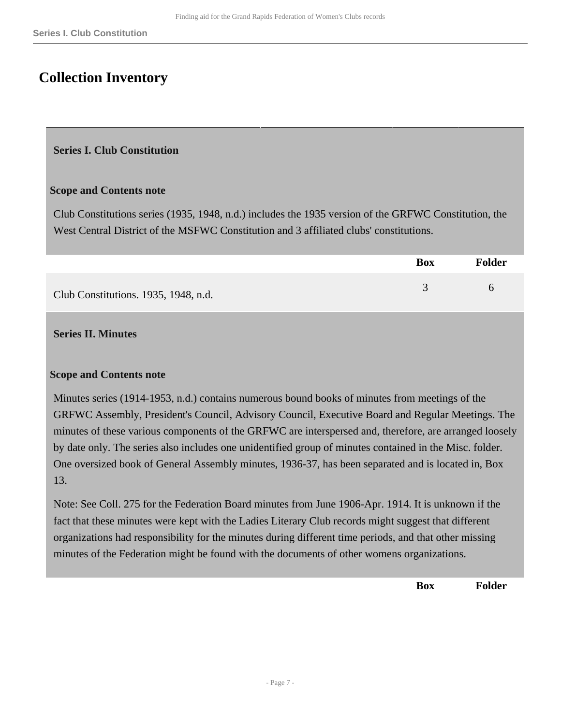## <span id="page-6-0"></span>**Collection Inventory**

#### <span id="page-6-1"></span>**Series I. Club Constitution**

#### **Scope and Contents note**

Club Constitutions series (1935, 1948, n.d.) includes the 1935 version of the GRFWC Constitution, the West Central District of the MSFWC Constitution and 3 affiliated clubs' constitutions.

|                                      | <b>Box</b> | <b>Folder</b> |
|--------------------------------------|------------|---------------|
| Club Constitutions. 1935, 1948, n.d. |            |               |

#### <span id="page-6-2"></span>**Series II. Minutes**

#### **Scope and Contents note**

Minutes series (1914-1953, n.d.) contains numerous bound books of minutes from meetings of the GRFWC Assembly, President's Council, Advisory Council, Executive Board and Regular Meetings. The minutes of these various components of the GRFWC are interspersed and, therefore, are arranged loosely by date only. The series also includes one unidentified group of minutes contained in the Misc. folder. One oversized book of General Assembly minutes, 1936-37, has been separated and is located in, Box 13.

Note: See Coll. 275 for the Federation Board minutes from June 1906-Apr. 1914. It is unknown if the fact that these minutes were kept with the Ladies Literary Club records might suggest that different organizations had responsibility for the minutes during different time periods, and that other missing minutes of the Federation might be found with the documents of other womens organizations.

**Box Folder**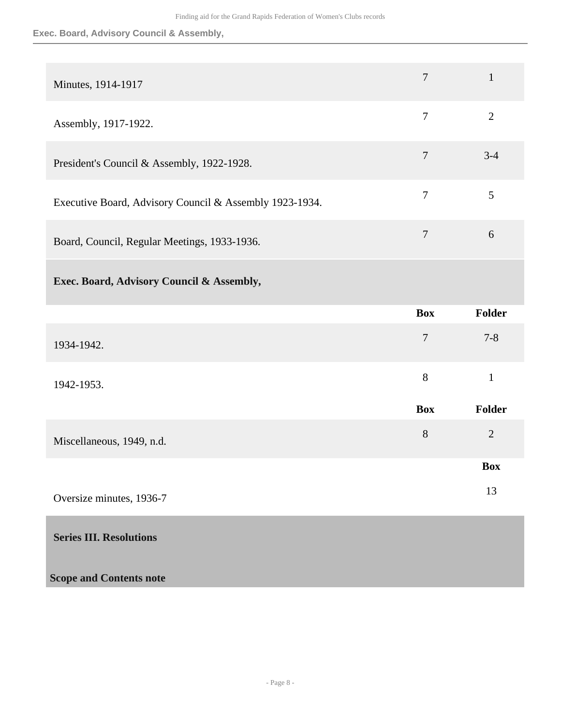### **Exec. Board, Advisory Council & Assembly,**

<span id="page-7-0"></span>

| Minutes, 1914-1917                                      | $\overline{7}$ | $\mathbf{1}$   |
|---------------------------------------------------------|----------------|----------------|
| Assembly, 1917-1922.                                    | $\overline{7}$ | $\overline{2}$ |
| President's Council & Assembly, 1922-1928.              | $\tau$         | $3 - 4$        |
| Executive Board, Advisory Council & Assembly 1923-1934. | $\overline{7}$ | 5              |
| Board, Council, Regular Meetings, 1933-1936.            | $\overline{7}$ | 6              |
| Exec. Board, Advisory Council & Assembly,               |                |                |
|                                                         | <b>Box</b>     | Folder         |
| 1934-1942.                                              | $\overline{7}$ | $7 - 8$        |
| 1942-1953.                                              | 8              | $\mathbf{1}$   |
|                                                         | <b>Box</b>     | Folder         |
| Miscellaneous, 1949, n.d.                               | 8              | $\overline{2}$ |
|                                                         |                | <b>Box</b>     |
| Oversize minutes, 1936-7                                |                | 13             |
| <b>Series III. Resolutions</b>                          |                |                |
| <b>Scope and Contents note</b>                          |                |                |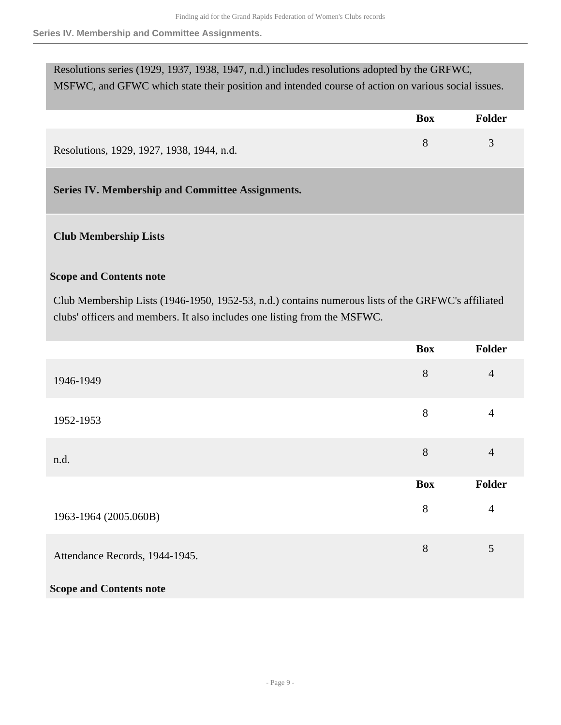**Series IV. Membership and Committee Assignments.**

| Resolutions series (1929, 1937, 1938, 1947, n.d.) includes resolutions adopted by the GRFWC,       |            |               |
|----------------------------------------------------------------------------------------------------|------------|---------------|
| MSFWC, and GFWC which state their position and intended course of action on various social issues. |            |               |
|                                                                                                    |            |               |
|                                                                                                    | <b>Box</b> | <b>Folder</b> |
| Resolutions, 1929, 1927, 1938, 1944, n.d.                                                          | 8          | 3             |
| Series IV. Membership and Committee Assignments.                                                   |            |               |
|                                                                                                    |            |               |

## <span id="page-8-0"></span>**Club Membership Lists**

#### **Scope and Contents note**

Club Membership Lists (1946-1950, 1952-53, n.d.) contains numerous lists of the GRFWC's affiliated clubs' officers and members. It also includes one listing from the MSFWC.

|                                | <b>Box</b> | Folder         |
|--------------------------------|------------|----------------|
| 1946-1949                      | 8          | $\overline{4}$ |
| 1952-1953                      | 8          | 4              |
| n.d.                           | 8          | $\overline{4}$ |
|                                | <b>Box</b> | <b>Folder</b>  |
| 1963-1964 (2005.060B)          | 8          | $\overline{4}$ |
| Attendance Records, 1944-1945. | 8          | 5              |
| <b>Scope and Contents note</b> |            |                |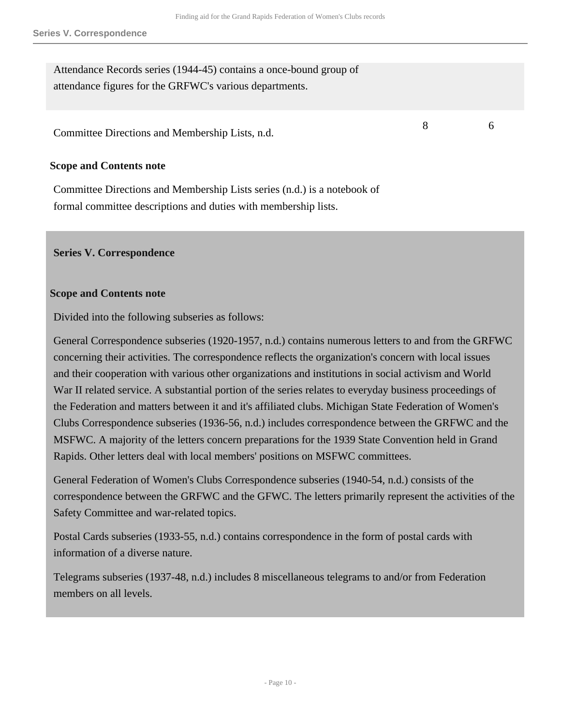Attendance Records series (1944-45) contains a once-bound group of attendance figures for the GRFWC's various departments.

Committee Directions and Membership Lists, n.d.

#### **Scope and Contents note**

Committee Directions and Membership Lists series (n.d.) is a notebook of formal committee descriptions and duties with membership lists.

#### <span id="page-9-0"></span>**Series V. Correspondence**

#### **Scope and Contents note**

Divided into the following subseries as follows:

General Correspondence subseries (1920-1957, n.d.) contains numerous letters to and from the GRFWC concerning their activities. The correspondence reflects the organization's concern with local issues and their cooperation with various other organizations and institutions in social activism and World War II related service. A substantial portion of the series relates to everyday business proceedings of the Federation and matters between it and it's affiliated clubs. Michigan State Federation of Women's Clubs Correspondence subseries (1936-56, n.d.) includes correspondence between the GRFWC and the MSFWC. A majority of the letters concern preparations for the 1939 State Convention held in Grand Rapids. Other letters deal with local members' positions on MSFWC committees.

General Federation of Women's Clubs Correspondence subseries (1940-54, n.d.) consists of the correspondence between the GRFWC and the GFWC. The letters primarily represent the activities of the Safety Committee and war-related topics.

Postal Cards subseries (1933-55, n.d.) contains correspondence in the form of postal cards with information of a diverse nature.

Telegrams subseries (1937-48, n.d.) includes 8 miscellaneous telegrams to and/or from Federation members on all levels.

8 6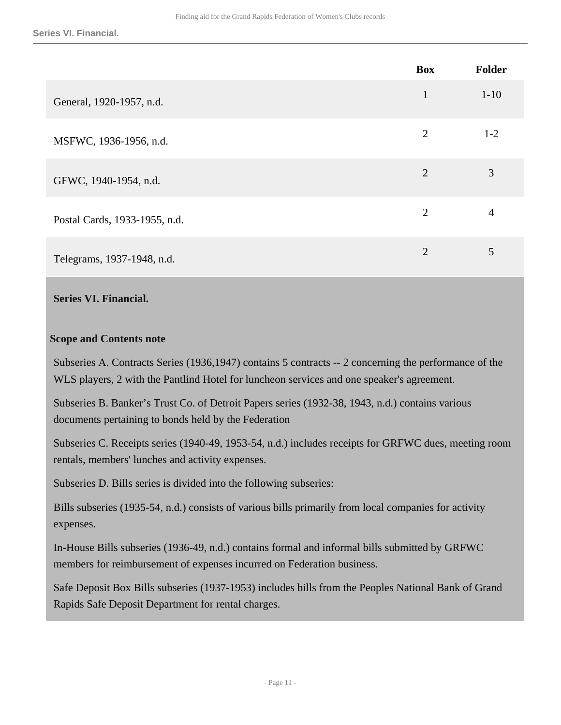|                               | <b>Box</b>     | Folder   |
|-------------------------------|----------------|----------|
| General, 1920-1957, n.d.      | $\mathbf{1}$   | $1 - 10$ |
| MSFWC, 1936-1956, n.d.        | $\overline{2}$ | $1 - 2$  |
| GFWC, 1940-1954, n.d.         | $\overline{2}$ | 3        |
| Postal Cards, 1933-1955, n.d. | $\overline{2}$ | 4        |
| Telegrams, 1937-1948, n.d.    | $\overline{2}$ | 5        |

#### <span id="page-10-0"></span>**Series VI. Financial.**

#### **Scope and Contents note**

Subseries A. Contracts Series (1936,1947) contains 5 contracts -- 2 concerning the performance of the WLS players, 2 with the Pantlind Hotel for luncheon services and one speaker's agreement.

Subseries B. Banker's Trust Co. of Detroit Papers series (1932-38, 1943, n.d.) contains various documents pertaining to bonds held by the Federation

Subseries C. Receipts series (1940-49, 1953-54, n.d.) includes receipts for GRFWC dues, meeting room rentals, members' lunches and activity expenses.

Subseries D. Bills series is divided into the following subseries:

Bills subseries (1935-54, n.d.) consists of various bills primarily from local companies for activity expenses.

In-House Bills subseries (1936-49, n.d.) contains formal and informal bills submitted by GRFWC members for reimbursement of expenses incurred on Federation business.

Safe Deposit Box Bills subseries (1937-1953) includes bills from the Peoples National Bank of Grand Rapids Safe Deposit Department for rental charges.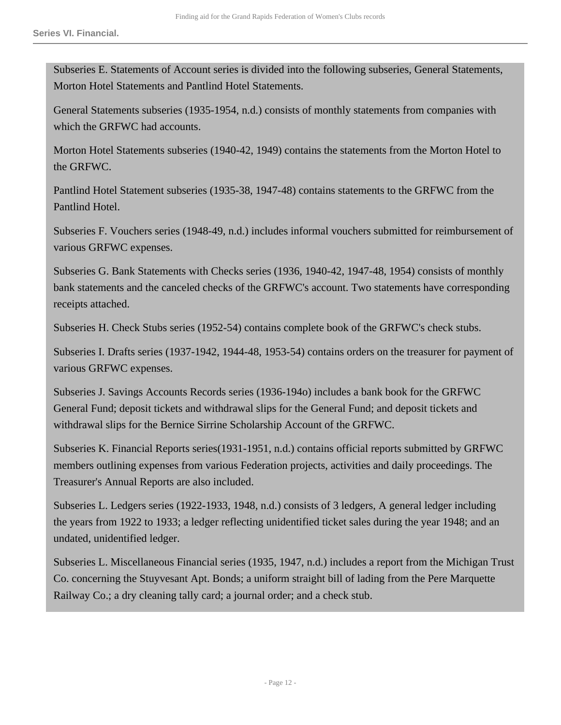Subseries E. Statements of Account series is divided into the following subseries, General Statements, Morton Hotel Statements and Pantlind Hotel Statements.

General Statements subseries (1935-1954, n.d.) consists of monthly statements from companies with which the GRFWC had accounts.

Morton Hotel Statements subseries (1940-42, 1949) contains the statements from the Morton Hotel to the GRFWC.

Pantlind Hotel Statement subseries (1935-38, 1947-48) contains statements to the GRFWC from the Pantlind Hotel.

Subseries F. Vouchers series (1948-49, n.d.) includes informal vouchers submitted for reimbursement of various GRFWC expenses.

Subseries G. Bank Statements with Checks series (1936, 1940-42, 1947-48, 1954) consists of monthly bank statements and the canceled checks of the GRFWC's account. Two statements have corresponding receipts attached.

Subseries H. Check Stubs series (1952-54) contains complete book of the GRFWC's check stubs.

Subseries I. Drafts series (1937-1942, 1944-48, 1953-54) contains orders on the treasurer for payment of various GRFWC expenses.

Subseries J. Savings Accounts Records series (1936-194o) includes a bank book for the GRFWC General Fund; deposit tickets and withdrawal slips for the General Fund; and deposit tickets and withdrawal slips for the Bernice Sirrine Scholarship Account of the GRFWC.

Subseries K. Financial Reports series(1931-1951, n.d.) contains official reports submitted by GRFWC members outlining expenses from various Federation projects, activities and daily proceedings. The Treasurer's Annual Reports are also included.

Subseries L. Ledgers series (1922-1933, 1948, n.d.) consists of 3 ledgers, A general ledger including the years from 1922 to 1933; a ledger reflecting unidentified ticket sales during the year 1948; and an undated, unidentified ledger.

Subseries L. Miscellaneous Financial series (1935, 1947, n.d.) includes a report from the Michigan Trust Co. concerning the Stuyvesant Apt. Bonds; a uniform straight bill of lading from the Pere Marquette Railway Co.; a dry cleaning tally card; a journal order; and a check stub.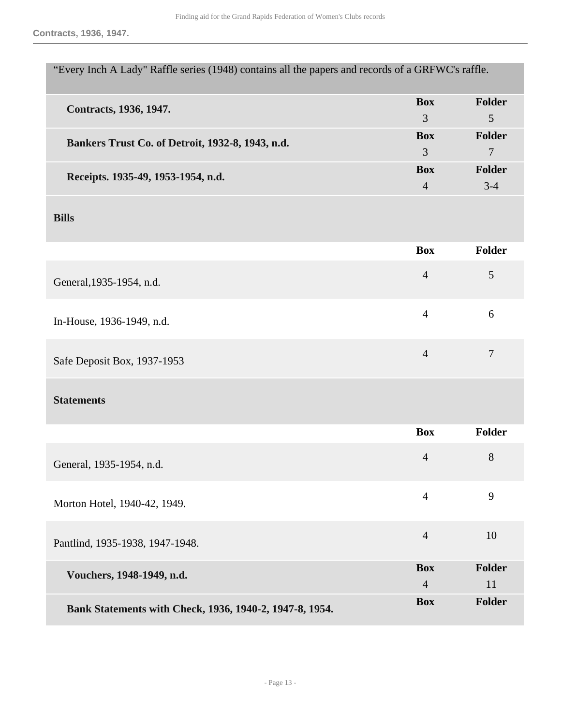**Contracts, 1936, 1947.**

| "Every Inch A Lady" Raffle series (1948) contains all the papers and records of a GRFWC's raffle. |                |                |
|---------------------------------------------------------------------------------------------------|----------------|----------------|
| Contracts, 1936, 1947.                                                                            | <b>Box</b>     | Folder         |
|                                                                                                   | $\overline{3}$ | 5              |
| Bankers Trust Co. of Detroit, 1932-8, 1943, n.d.                                                  | <b>Box</b>     | Folder         |
|                                                                                                   | $\overline{3}$ | $\overline{7}$ |
| Receipts. 1935-49, 1953-1954, n.d.                                                                | <b>Box</b>     | Folder         |
|                                                                                                   | $\overline{4}$ | $3-4$          |
| <b>Bills</b>                                                                                      |                |                |
|                                                                                                   | <b>Box</b>     | <b>Folder</b>  |
| General, 1935-1954, n.d.                                                                          | $\overline{4}$ | 5              |
| In-House, 1936-1949, n.d.                                                                         | $\overline{4}$ | 6              |
| Safe Deposit Box, 1937-1953                                                                       | $\overline{4}$ | $\overline{7}$ |
| <b>Statements</b>                                                                                 |                |                |
|                                                                                                   | <b>Box</b>     | <b>Folder</b>  |
| General, 1935-1954, n.d.                                                                          | $\overline{4}$ | 8              |
| Morton Hotel, 1940-42, 1949.                                                                      | $\overline{4}$ | 9              |
| Pantlind, 1935-1938, 1947-1948.                                                                   | $\overline{4}$ | 10             |
| Vouchers, 1948-1949, n.d.                                                                         | <b>Box</b>     | Folder         |
|                                                                                                   | $\overline{4}$ | 11             |
| Bank Statements with Check, 1936, 1940-2, 1947-8, 1954.                                           | <b>Box</b>     | Folder         |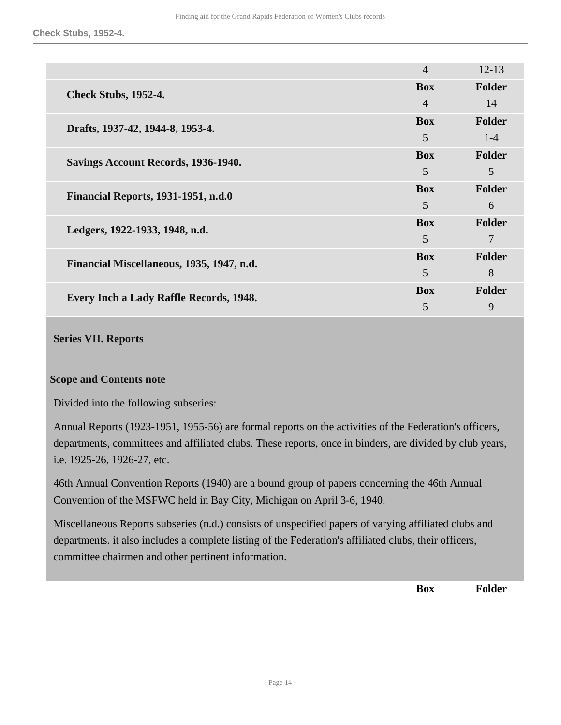**Check Stubs, 1952-4.**

|                                                | $\overline{4}$ | $12 - 13$ |
|------------------------------------------------|----------------|-----------|
| <b>Check Stubs, 1952-4.</b>                    | <b>Box</b>     | Folder    |
|                                                | $\overline{4}$ | 14        |
| Drafts, 1937-42, 1944-8, 1953-4.               | <b>Box</b>     | Folder    |
|                                                | 5              | $1 - 4$   |
| Savings Account Records, 1936-1940.            | <b>Box</b>     | Folder    |
|                                                | 5              | 5         |
| <b>Financial Reports, 1931-1951, n.d.0</b>     | <b>Box</b>     | Folder    |
|                                                | 5              | 6         |
| Ledgers, 1922-1933, 1948, n.d.                 | <b>Box</b>     | Folder    |
|                                                | 5              | 7         |
| Financial Miscellaneous, 1935, 1947, n.d.      | <b>Box</b>     | Folder    |
|                                                | 5              | 8         |
| <b>Every Inch a Lady Raffle Records, 1948.</b> | <b>Box</b>     | Folder    |
|                                                | 5              | 9         |

#### <span id="page-13-0"></span>**Series VII. Reports**

#### **Scope and Contents note**

Divided into the following subseries:

Annual Reports (1923-1951, 1955-56) are formal reports on the activities of the Federation's officers, departments, committees and affiliated clubs. These reports, once in binders, are divided by club years, i.e. 1925-26, 1926-27, etc.

46th Annual Convention Reports (1940) are a bound group of papers concerning the 46th Annual Convention of the MSFWC held in Bay City, Michigan on April 3-6, 1940.

Miscellaneous Reports subseries (n.d.) consists of unspecified papers of varying affiliated clubs and departments. it also includes a complete listing of the Federation's affiliated clubs, their officers, committee chairmen and other pertinent information.

**Box Folder**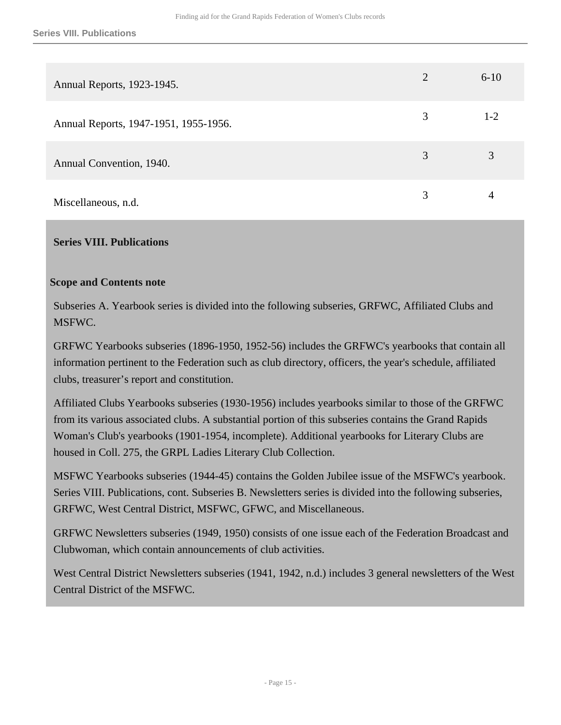| Annual Reports, 1923-1945.            | $\overline{2}$ | $6 - 10$ |
|---------------------------------------|----------------|----------|
| Annual Reports, 1947-1951, 1955-1956. | 3              | $1-2$    |
| Annual Convention, 1940.              | 3              | 3        |
| Miscellaneous, n.d.                   | 3              | 4        |

#### <span id="page-14-0"></span>**Series VIII. Publications**

#### **Scope and Contents note**

Subseries A. Yearbook series is divided into the following subseries, GRFWC, Affiliated Clubs and MSFWC.

GRFWC Yearbooks subseries (1896-1950, 1952-56) includes the GRFWC's yearbooks that contain all information pertinent to the Federation such as club directory, officers, the year's schedule, affiliated clubs, treasurer's report and constitution.

Affiliated Clubs Yearbooks subseries (1930-1956) includes yearbooks similar to those of the GRFWC from its various associated clubs. A substantial portion of this subseries contains the Grand Rapids Woman's Club's yearbooks (1901-1954, incomplete). Additional yearbooks for Literary Clubs are housed in Coll. 275, the GRPL Ladies Literary Club Collection.

MSFWC Yearbooks subseries (1944-45) contains the Golden Jubilee issue of the MSFWC's yearbook. Series VIII. Publications, cont. Subseries B. Newsletters series is divided into the following subseries, GRFWC, West Central District, MSFWC, GFWC, and Miscellaneous.

GRFWC Newsletters subseries (1949, 1950) consists of one issue each of the Federation Broadcast and Clubwoman, which contain announcements of club activities.

West Central District Newsletters subseries (1941, 1942, n.d.) includes 3 general newsletters of the West Central District of the MSFWC.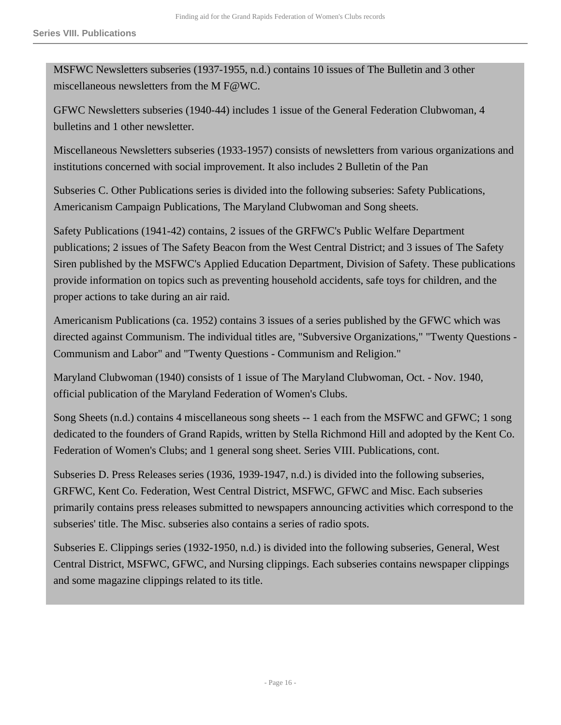MSFWC Newsletters subseries (1937-1955, n.d.) contains 10 issues of The Bulletin and 3 other miscellaneous newsletters from the M F@WC.

GFWC Newsletters subseries (1940-44) includes 1 issue of the General Federation Clubwoman, 4 bulletins and 1 other newsletter.

Miscellaneous Newsletters subseries (1933-1957) consists of newsletters from various organizations and institutions concerned with social improvement. It also includes 2 Bulletin of the Pan

Subseries C. Other Publications series is divided into the following subseries: Safety Publications, Americanism Campaign Publications, The Maryland Clubwoman and Song sheets.

Safety Publications (1941-42) contains, 2 issues of the GRFWC's Public Welfare Department publications; 2 issues of The Safety Beacon from the West Central District; and 3 issues of The Safety Siren published by the MSFWC's Applied Education Department, Division of Safety. These publications provide information on topics such as preventing household accidents, safe toys for children, and the proper actions to take during an air raid.

Americanism Publications (ca. 1952) contains 3 issues of a series published by the GFWC which was directed against Communism. The individual titles are, "Subversive Organizations," "Twenty Questions - Communism and Labor" and "Twenty Questions - Communism and Religion."

Maryland Clubwoman (1940) consists of 1 issue of The Maryland Clubwoman, Oct. - Nov. 1940, official publication of the Maryland Federation of Women's Clubs.

Song Sheets (n.d.) contains 4 miscellaneous song sheets -- 1 each from the MSFWC and GFWC; 1 song dedicated to the founders of Grand Rapids, written by Stella Richmond Hill and adopted by the Kent Co. Federation of Women's Clubs; and 1 general song sheet. Series VIII. Publications, cont.

Subseries D. Press Releases series (1936, 1939-1947, n.d.) is divided into the following subseries, GRFWC, Kent Co. Federation, West Central District, MSFWC, GFWC and Misc. Each subseries primarily contains press releases submitted to newspapers announcing activities which correspond to the subseries' title. The Misc. subseries also contains a series of radio spots.

Subseries E. Clippings series (1932-1950, n.d.) is divided into the following subseries, General, West Central District, MSFWC, GFWC, and Nursing clippings. Each subseries contains newspaper clippings and some magazine clippings related to its title.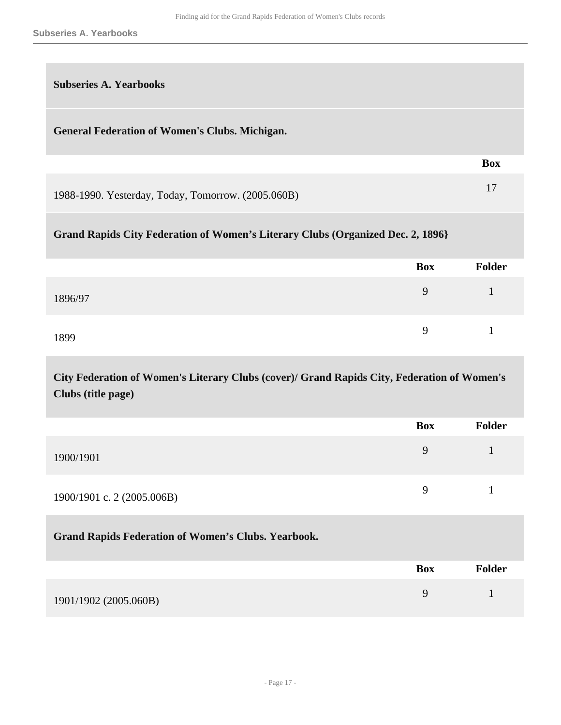| <b>Subseries A. Yearbooks</b>                                                   |            |               |
|---------------------------------------------------------------------------------|------------|---------------|
| <b>General Federation of Women's Clubs. Michigan.</b>                           |            |               |
|                                                                                 |            | <b>Box</b>    |
| 1988-1990. Yesterday, Today, Tomorrow. (2005.060B)                              |            | 17            |
| Grand Rapids City Federation of Women's Literary Clubs (Organized Dec. 2, 1896) |            |               |
|                                                                                 | <b>Box</b> | <b>Folder</b> |
| 1896/97                                                                         | 9          | 1             |
| 1899                                                                            | 9          | 1             |

**City Federation of Women's Literary Clubs (cover)/ Grand Rapids City, Federation of Women's Clubs (title page)** 

|                            | <b>Box</b> | <b>Folder</b> |
|----------------------------|------------|---------------|
| 1900/1901                  | Q          |               |
| 1900/1901 c. 2 (2005.006B) | Q          |               |

|                       | <b>Box</b> | <b>Folder</b> |
|-----------------------|------------|---------------|
| 1901/1902 (2005.060B) |            |               |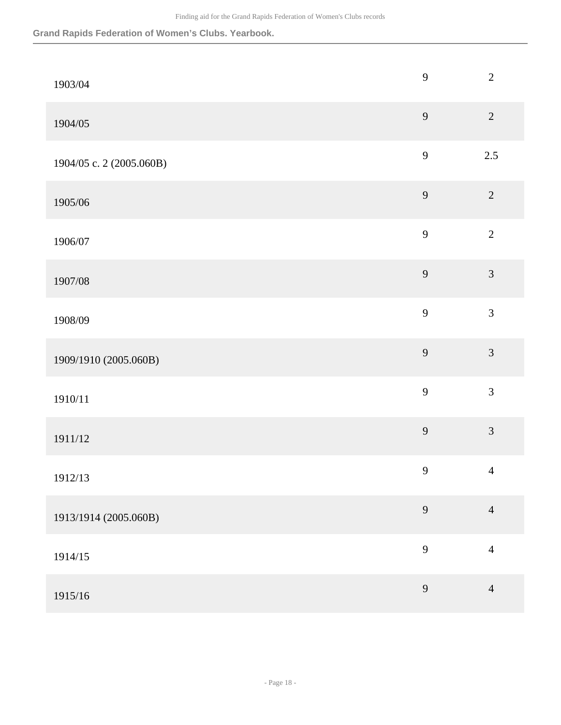| 1903/04                  | 9            | $\overline{2}$ |
|--------------------------|--------------|----------------|
| 1904/05                  | 9            | $\sqrt{2}$     |
| 1904/05 c. 2 (2005.060B) | $\mathbf{9}$ | $2.5$          |
| 1905/06                  | 9            | $\overline{2}$ |
| 1906/07                  | $\mathbf{9}$ | $\overline{2}$ |
| 1907/08                  | 9            | $\overline{3}$ |
| 1908/09                  | $\mathbf{9}$ | $\mathfrak{Z}$ |
| 1909/1910 (2005.060B)    | 9            | $\mathfrak{Z}$ |
| 1910/11                  | 9            | $\overline{3}$ |
| 1911/12                  | 9            | $\overline{3}$ |
| 1912/13                  | 9            | $\overline{4}$ |
| 1913/1914 (2005.060B)    | 9            | $\overline{4}$ |
| 1914/15                  | 9            | $\overline{4}$ |
| 1915/16                  | $\mathbf{9}$ | $\overline{4}$ |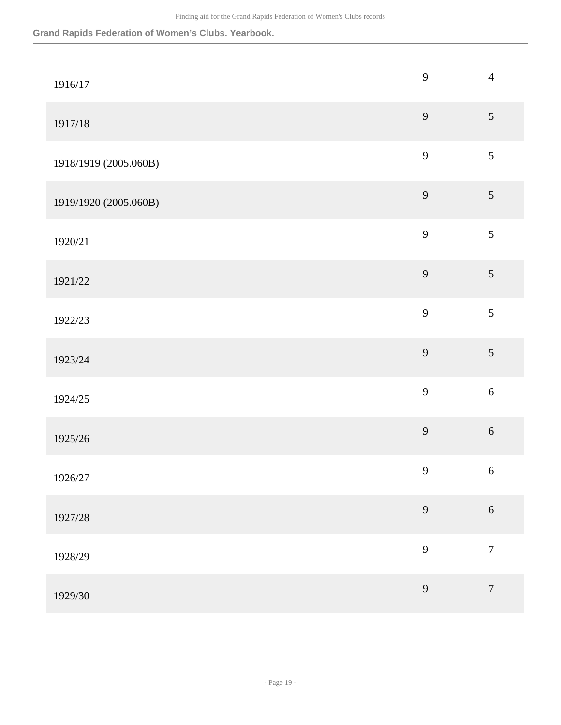| 1916/17               | 9                | $\overline{4}$   |
|-----------------------|------------------|------------------|
| 1917/18               | $\overline{9}$   | $\mathfrak{S}$   |
| 1918/1919 (2005.060B) | 9                | 5                |
| 1919/1920 (2005.060B) | 9                | $\mathfrak{S}$   |
| 1920/21               | 9                | 5                |
| 1921/22               | 9                | 5                |
| 1922/23               | 9                | $\mathfrak{S}$   |
| 1923/24               | 9                | 5                |
| 1924/25               | 9                | $\sqrt{6}$       |
| 1925/26               | 9                | $\sqrt{6}$       |
| 1926/27               | $\boldsymbol{9}$ | $6\,$            |
| 1927/28               | 9                | $\sqrt{6}$       |
| 1928/29               | 9                | $\boldsymbol{7}$ |
| 1929/30               | 9                | $\boldsymbol{7}$ |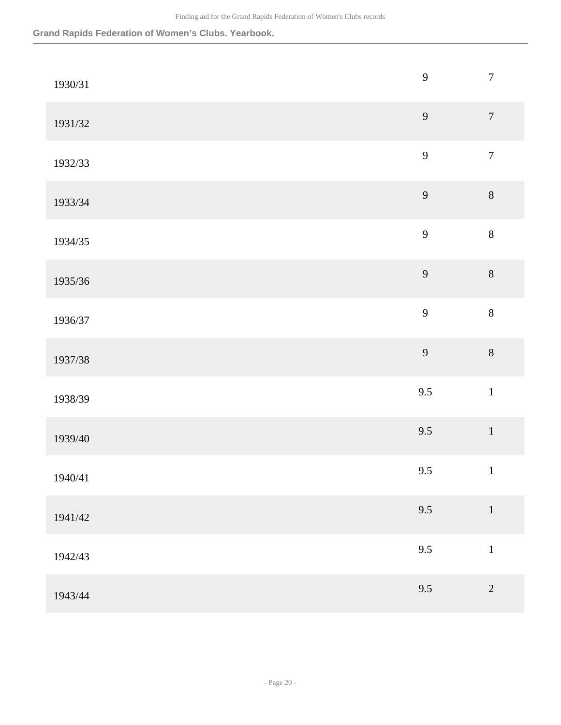| 1930/31 | 9   | $\boldsymbol{7}$ |
|---------|-----|------------------|
| 1931/32 | 9   | $\boldsymbol{7}$ |
| 1932/33 | 9   | $\boldsymbol{7}$ |
| 1933/34 | 9   | $\,8\,$          |
| 1934/35 | 9   | $\,8\,$          |
| 1935/36 | 9   | $\,8\,$          |
| 1936/37 | 9   | $\,8\,$          |
| 1937/38 | 9   | $\,8\,$          |
| 1938/39 | 9.5 | $\mathbf 1$      |
| 1939/40 | 9.5 | $\,1\,$          |
| 1940/41 | 9.5 | $\,1\,$          |
| 1941/42 | 9.5 | $\,1\,$          |
| 1942/43 | 9.5 | $\,1$            |
| 1943/44 | 9.5 | $\sqrt{2}$       |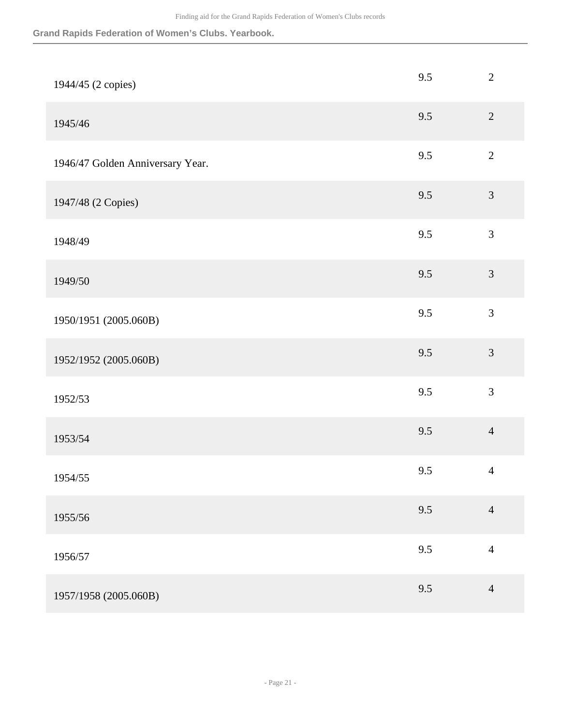| 1944/45 (2 copies)               | 9.5 | $\sqrt{2}$     |
|----------------------------------|-----|----------------|
| 1945/46                          | 9.5 | $\overline{2}$ |
| 1946/47 Golden Anniversary Year. | 9.5 | $\overline{2}$ |
| 1947/48 (2 Copies)               | 9.5 | $\mathfrak{Z}$ |
| 1948/49                          | 9.5 | $\mathfrak{Z}$ |
| 1949/50                          | 9.5 | 3              |
| 1950/1951 (2005.060B)            | 9.5 | $\mathfrak{Z}$ |
| 1952/1952 (2005.060B)            | 9.5 | $\mathfrak{Z}$ |
| 1952/53                          | 9.5 | $\mathfrak{Z}$ |
| 1953/54                          | 9.5 | $\overline{4}$ |
| 1954/55                          | 9.5 | $\overline{4}$ |
| 1955/56                          | 9.5 | $\overline{4}$ |
| 1956/57                          | 9.5 | $\overline{4}$ |
| 1957/1958 (2005.060B)            | 9.5 | $\overline{4}$ |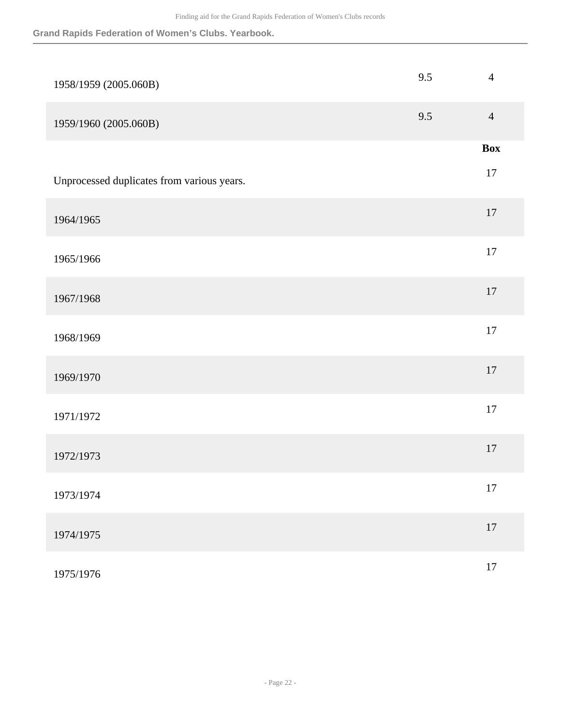| 1958/1959 (2005.060B)                      | 9.5 | $\overline{4}$ |
|--------------------------------------------|-----|----------------|
| 1959/1960 (2005.060B)                      | 9.5 | $\overline{4}$ |
|                                            |     | <b>Box</b>     |
| Unprocessed duplicates from various years. |     | 17             |
| 1964/1965                                  |     | $17\,$         |
| 1965/1966                                  |     | 17             |
| 1967/1968                                  |     | $17\,$         |
| 1968/1969                                  |     | $17\,$         |
| 1969/1970                                  |     | $17\,$         |
| 1971/1972                                  |     | $17\,$         |
| 1972/1973                                  |     | $17\,$         |
| 1973/1974                                  |     | 17             |
| 1974/1975                                  |     | $17\,$         |
| 1975/1976                                  |     | $17\,$         |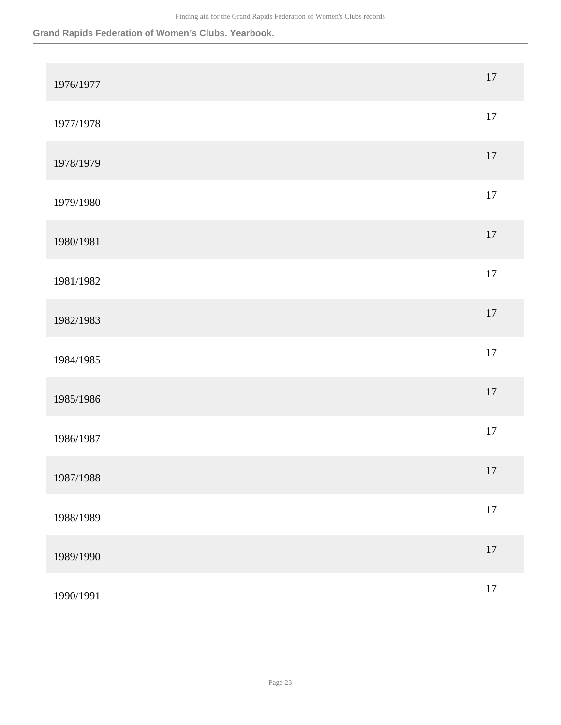| 1976/1977 | $17\,$ |
|-----------|--------|
| 1977/1978 | $17\,$ |
| 1978/1979 | $17\,$ |
| 1979/1980 | $17\,$ |
| 1980/1981 | $17\,$ |
| 1981/1982 | $17\,$ |
| 1982/1983 | $17\,$ |
| 1984/1985 | $17\,$ |
| 1985/1986 | $17\,$ |
| 1986/1987 | $17\,$ |
| 1987/1988 | $17\,$ |
| 1988/1989 | $17\,$ |
| 1989/1990 | $17\,$ |
| 1990/1991 | $17\,$ |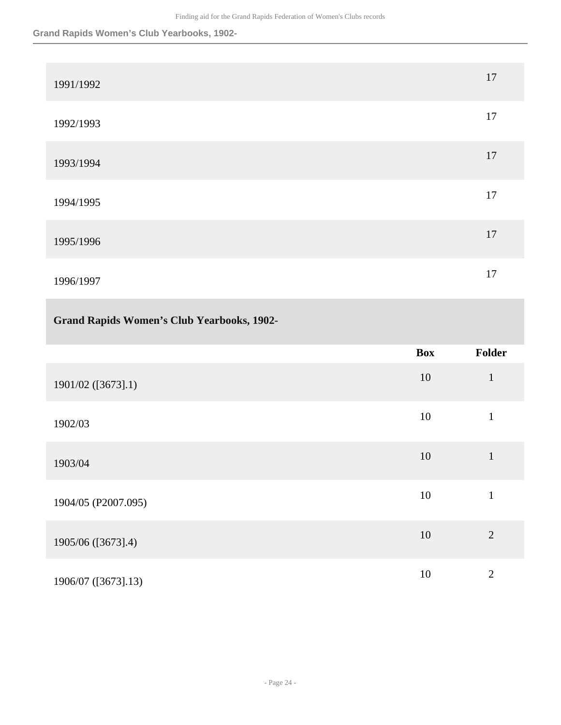## **Grand Rapids Women's Club Yearbooks, 1902-**

| 1991/1992 | 17 |
|-----------|----|
| 1992/1993 | 17 |
| 1993/1994 | 17 |
| 1994/1995 | 17 |
| 1995/1996 | 17 |
| 1996/1997 | 17 |

## **Grand Rapids Women's Club Yearbooks, 1902-**

|                     | <b>Box</b> | <b>Folder</b>  |
|---------------------|------------|----------------|
| 1901/02 ([3673].1)  | 10         | $\mathbf{1}$   |
| 1902/03             | 10         | $\mathbf{1}$   |
| 1903/04             | 10         | $\mathbf{1}$   |
| 1904/05 (P2007.095) | 10         | $\mathbf{1}$   |
| 1905/06 ([3673].4)  | 10         | $\overline{2}$ |
| 1906/07 ([3673].13) | 10         | $\overline{2}$ |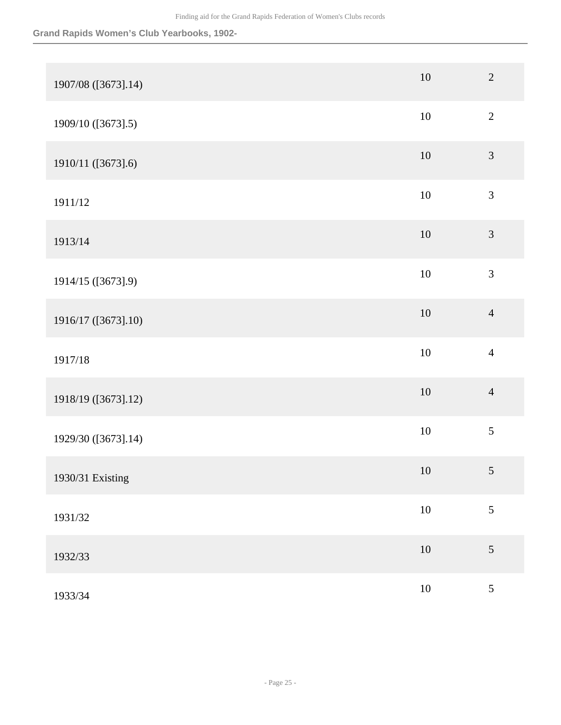### **Grand Rapids Women's Club Yearbooks, 1902-**

| 1907/08 ([3673].14) | $10\,$ | $\sqrt{2}$                  |
|---------------------|--------|-----------------------------|
| 1909/10 ([3673].5)  | $10\,$ | $\sqrt{2}$                  |
| 1910/11 ([3673].6)  | $10\,$ | $\mathfrak{Z}$              |
| 1911/12             | $10\,$ | $\ensuremath{\mathfrak{Z}}$ |
| 1913/14             | $10\,$ | $\mathfrak{Z}$              |
| 1914/15 ([3673].9)  | $10\,$ | 3                           |
| 1916/17 ([3673].10) | $10\,$ | $\overline{4}$              |
| 1917/18             | $10\,$ | $\overline{4}$              |
| 1918/19 ([3673].12) | $10\,$ | $\overline{4}$              |
| 1929/30 ([3673].14) | $10\,$ | $\sqrt{5}$                  |
| 1930/31 Existing    | $10\,$ | $\sqrt{5}$                  |
| 1931/32             | $10\,$ | $\mathfrak{S}$              |
| 1932/33             | $10\,$ | 5                           |
| 1933/34             | $10\,$ | $\mathfrak{S}$              |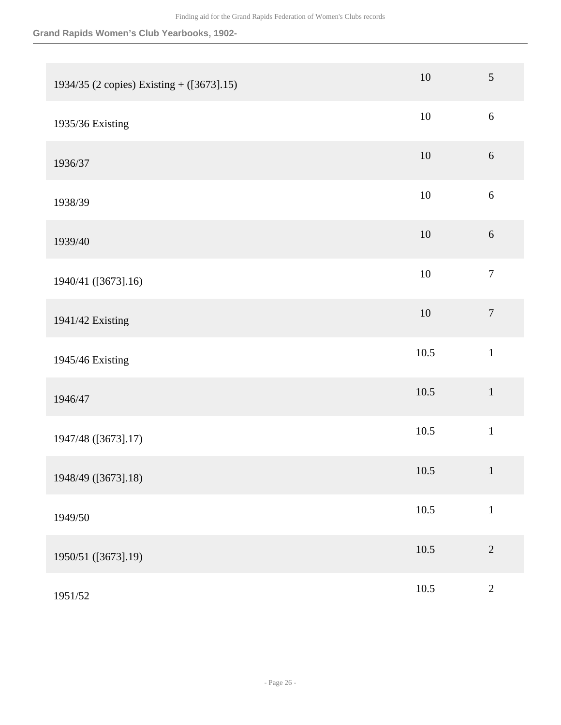### **Grand Rapids Women's Club Yearbooks, 1902-**

| 1934/35 (2 copies) Existing + ([3673].15) | $10\,$   | $\sqrt{5}$       |
|-------------------------------------------|----------|------------------|
| 1935/36 Existing                          | $10\,$   | $6\,$            |
| 1936/37                                   | 10       | $6\,$            |
| 1938/39                                   | $10\,$   | $\sqrt{6}$       |
| 1939/40                                   | $10\,$   | $6\,$            |
| 1940/41 ([3673].16)                       | $10\,$   | $\boldsymbol{7}$ |
| 1941/42 Existing                          | $10\,$   | $\boldsymbol{7}$ |
| 1945/46 Existing                          | 10.5     | $1\,$            |
| 1946/47                                   | 10.5     | $1\,$            |
| 1947/48 ([3673].17)                       | 10.5     | $\,1\,$          |
| 1948/49 ([3673].18)                       | 10.5     | $\mathbf{1}$     |
| 1949/50                                   | $10.5\,$ | $\mathbf 1$      |
| 1950/51 ([3673].19)                       | $10.5\,$ | $\overline{2}$   |
| 1951/52                                   | 10.5     | $\sqrt{2}$       |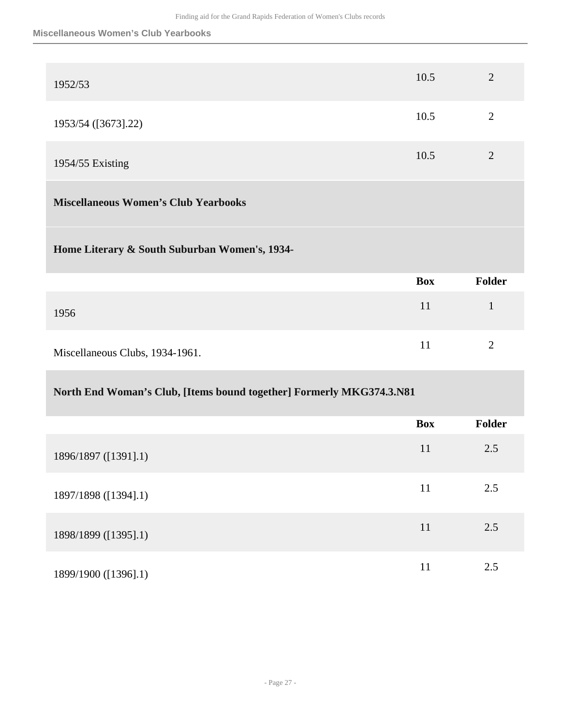#### **Miscellaneous Women's Club Yearbooks**

| 1952/53             | 10.5 | $\overline{2}$ |
|---------------------|------|----------------|
| 1953/54 ([3673].22) | 10.5 | 2              |
| 1954/55 Existing    | 10.5 | $\overline{2}$ |
|                     |      |                |

## **Miscellaneous Women's Club Yearbooks**

#### **Home Literary & South Suburban Women's, 1934-**

|                                 | <b>Box</b>   | <b>Folder</b> |
|---------------------------------|--------------|---------------|
| 1956                            | $\mathbf{L}$ |               |
| Miscellaneous Clubs, 1934-1961. |              |               |

#### **North End Woman's Club, [Items bound together] Formerly MKG374.3.N81**

|                      | <b>Box</b> | Folder |
|----------------------|------------|--------|
| 1896/1897 ([1391].1) | 11         | 2.5    |
| 1897/1898 ([1394].1) | 11         | 2.5    |
| 1898/1899 ([1395].1) | 11         | 2.5    |
| 1899/1900 ([1396].1) | 11         | 2.5    |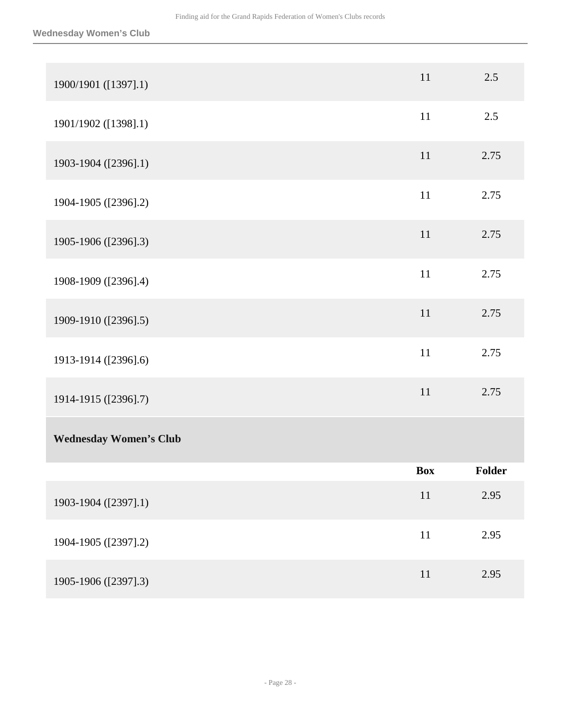| 1900/1901 ([1397].1)          | 11         | 2.5    |
|-------------------------------|------------|--------|
| 1901/1902 ([1398].1)          | 11         | 2.5    |
| 1903-1904 ([2396].1)          | 11         | 2.75   |
| 1904-1905 ([2396].2)          | $11\,$     | 2.75   |
| 1905-1906 ([2396].3)          | 11         | 2.75   |
| 1908-1909 ([2396].4)          | 11         | 2.75   |
| 1909-1910 ([2396].5)          | $11\,$     | 2.75   |
| 1913-1914 ([2396].6)          | $11\,$     | 2.75   |
| 1914-1915 ([2396].7)          | 11         | 2.75   |
| <b>Wednesday Women's Club</b> |            |        |
|                               | <b>Box</b> | Folder |
| 1903-1904 ([2397].1)          | 11         | 2.95   |
| 1904-1905 ([2397].2)          | $11\,$     | 2.95   |
| 1905-1906 ([2397].3)          | $11\,$     | 2.95   |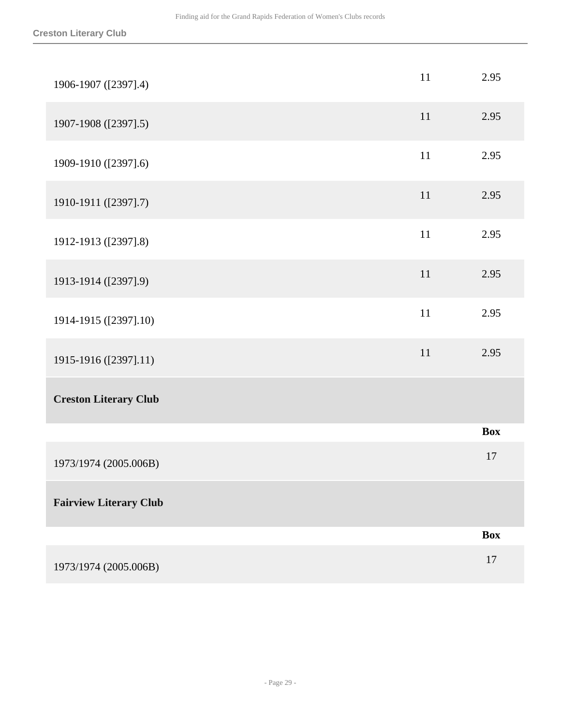| 1906-1907 ([2397].4)          | 11 | 2.95       |
|-------------------------------|----|------------|
| 1907-1908 ([2397].5)          | 11 | 2.95       |
| 1909-1910 ([2397].6)          | 11 | 2.95       |
| 1910-1911 ([2397].7)          | 11 | 2.95       |
| 1912-1913 ([2397].8)          | 11 | 2.95       |
| 1913-1914 ([2397].9)          | 11 | 2.95       |
| 1914-1915 ([2397].10)         | 11 | 2.95       |
| 1915-1916 ([2397].11)         | 11 | 2.95       |
| <b>Creston Literary Club</b>  |    |            |
|                               |    | <b>Box</b> |
| 1973/1974 (2005.006B)         |    | 17         |
| <b>Fairview Literary Club</b> |    |            |
|                               |    | <b>Box</b> |
| 1973/1974 (2005.006B)         |    | 17         |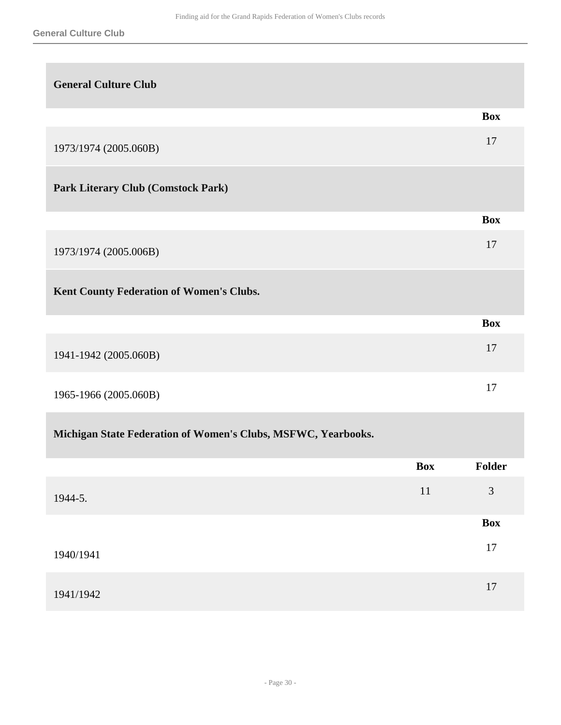| <b>General Culture Club</b>               |            |
|-------------------------------------------|------------|
|                                           | <b>Box</b> |
| 1973/1974 (2005.060B)                     | 17         |
| <b>Park Literary Club (Comstock Park)</b> |            |
|                                           | <b>Box</b> |
| 1973/1974 (2005.006B)                     | 17         |
| Kent County Federation of Women's Clubs.  |            |
|                                           | <b>Box</b> |
| 1941-1942 (2005.060B)                     | 17         |
| 1965-1966 (2005.060B)                     | 17         |

## **Michigan State Federation of Women's Clubs, MSFWC, Yearbooks.**

|           | <b>Box</b> | Folder     |
|-----------|------------|------------|
| 1944-5.   | 11         | 3          |
|           |            | <b>Box</b> |
| 1940/1941 |            | 17         |
| 1941/1942 |            | 17         |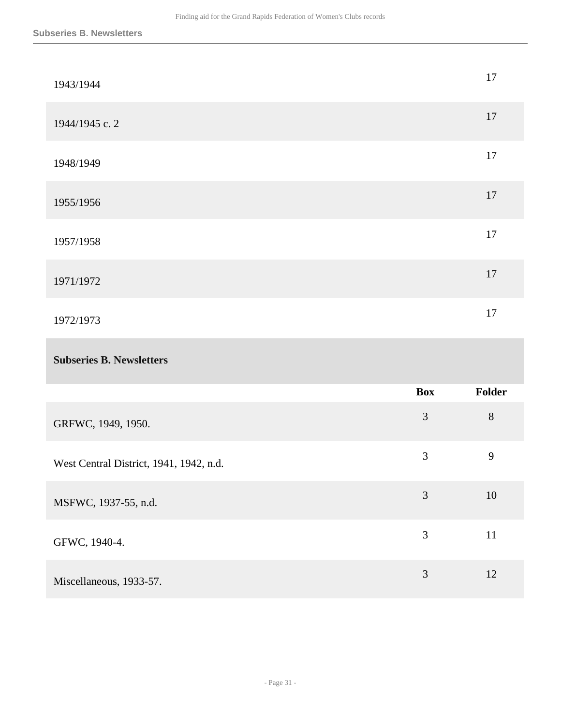| 1943/1944      | 17 |
|----------------|----|
| 1944/1945 c. 2 | 17 |
| 1948/1949      | 17 |
| 1955/1956      | 17 |
| 1957/1958      | 17 |
| 1971/1972      | 17 |
| 1972/1973      | 17 |
|                |    |

## **Subseries B. Newsletters**

|                                         | <b>Box</b> | <b>Folder</b> |
|-----------------------------------------|------------|---------------|
| GRFWC, 1949, 1950.                      | 3          | 8             |
| West Central District, 1941, 1942, n.d. | 3          | 9             |
| MSFWC, 1937-55, n.d.                    | 3          | 10            |
| GFWC, 1940-4.                           | 3          | 11            |
| Miscellaneous, 1933-57.                 | 3          | 12            |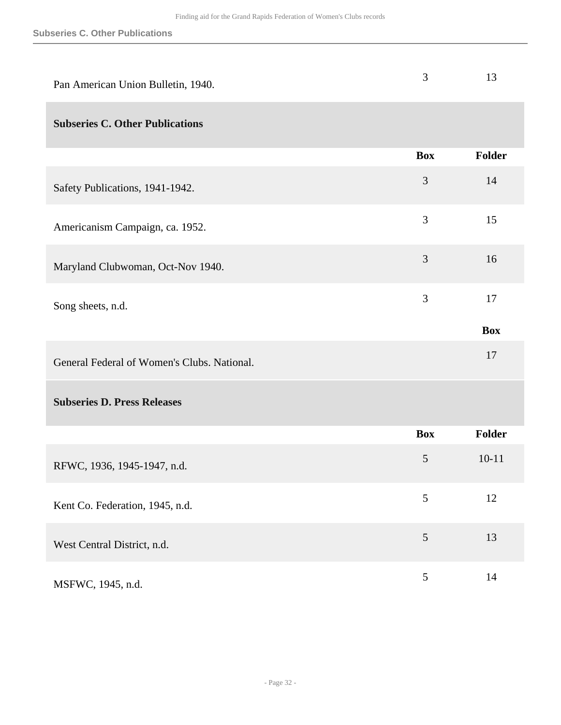| Pan American Union Bulletin, 1940.          | 3              | 13         |
|---------------------------------------------|----------------|------------|
| <b>Subseries C. Other Publications</b>      |                |            |
|                                             | <b>Box</b>     | Folder     |
| Safety Publications, 1941-1942.             | $\mathfrak{Z}$ | 14         |
| Americanism Campaign, ca. 1952.             | 3              | 15         |
| Maryland Clubwoman, Oct-Nov 1940.           | 3              | 16         |
| Song sheets, n.d.                           | 3              | 17         |
|                                             |                | <b>Box</b> |
| General Federal of Women's Clubs. National. |                | 17         |
| <b>Subseries D. Press Releases</b>          |                |            |
|                                             | <b>Box</b>     | Folder     |
| RFWC, 1936, 1945-1947, n.d.                 | 5              | $10 - 11$  |
| Kent Co. Federation, 1945, n.d.             | 5              | 12         |
| West Central District, n.d.                 | $\mathfrak{S}$ | 13         |
| MSFWC, 1945, n.d.                           | 5              | 14         |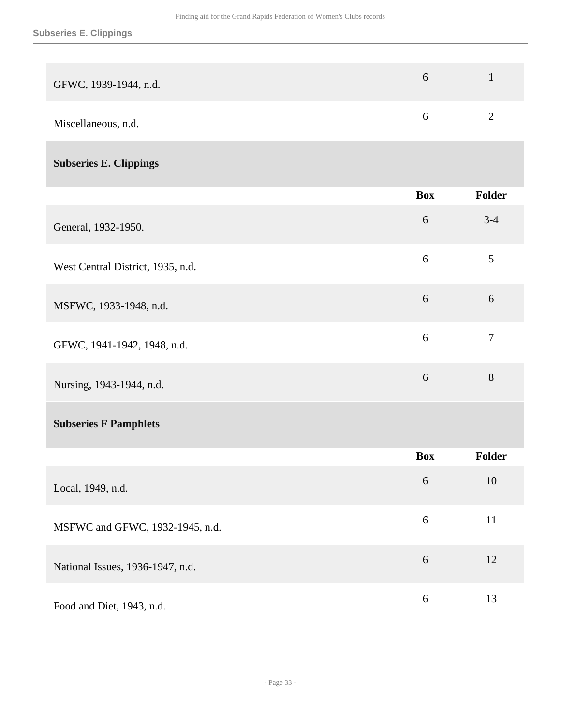| GFWC, 1939-1944, n.d. |  |
|-----------------------|--|
| Miscellaneous, n.d.   |  |

## **Subseries E. Clippings**

|                                   | <b>Box</b> | <b>Folder</b>  |
|-----------------------------------|------------|----------------|
| General, 1932-1950.               | 6          | $3-4$          |
| West Central District, 1935, n.d. | 6          | $\mathfrak{S}$ |
| MSFWC, 1933-1948, n.d.            | 6          | 6              |
| GFWC, 1941-1942, 1948, n.d.       | 6          | $\overline{7}$ |
| Nursing, 1943-1944, n.d.          | 6          | 8              |
| <b>Subseries F Pamphlets</b>      |            |                |
|                                   | <b>Box</b> | <b>Folder</b>  |
| Local, 1949, n.d.                 | 6          | 10             |
| MSFWC and GFWC, 1932-1945, n.d.   | 6          | 11             |
|                                   |            |                |

| National Issues, 1936-1947, n.d. |   |    |
|----------------------------------|---|----|
| Food and Diet, 1943, n.d.        | 6 | 13 |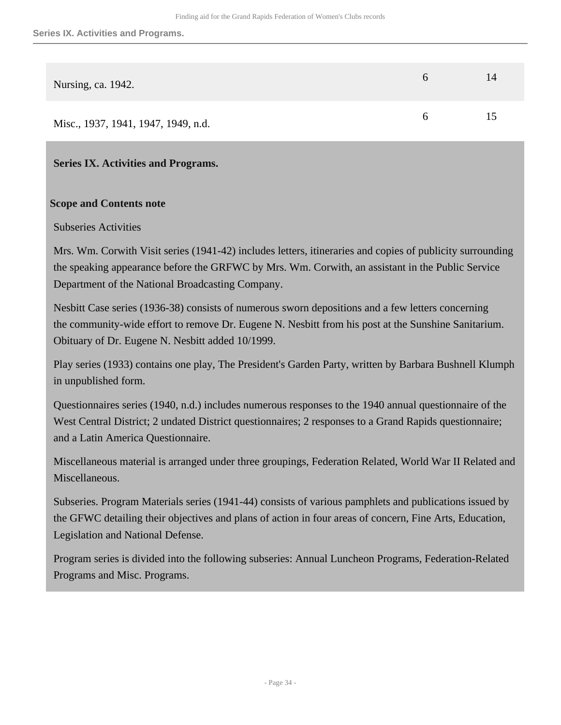| Nursing, ca. 1942.                  | $\sigma$ | 14 |
|-------------------------------------|----------|----|
| Misc., 1937, 1941, 1947, 1949, n.d. | 6        | 15 |

<span id="page-33-0"></span>**Series IX. Activities and Programs.** 

#### **Scope and Contents note**

#### Subseries Activities

Mrs. Wm. Corwith Visit series (1941-42) includes letters, itineraries and copies of publicity surrounding the speaking appearance before the GRFWC by Mrs. Wm. Corwith, an assistant in the Public Service Department of the National Broadcasting Company.

Nesbitt Case series (1936-38) consists of numerous sworn depositions and a few letters concerning the community-wide effort to remove Dr. Eugene N. Nesbitt from his post at the Sunshine Sanitarium. Obituary of Dr. Eugene N. Nesbitt added 10/1999.

Play series (1933) contains one play, The President's Garden Party, written by Barbara Bushnell Klumph in unpublished form.

Questionnaires series (1940, n.d.) includes numerous responses to the 1940 annual questionnaire of the West Central District; 2 undated District questionnaires; 2 responses to a Grand Rapids questionnaire; and a Latin America Questionnaire.

Miscellaneous material is arranged under three groupings, Federation Related, World War II Related and Miscellaneous.

Subseries. Program Materials series (1941-44) consists of various pamphlets and publications issued by the GFWC detailing their objectives and plans of action in four areas of concern, Fine Arts, Education, Legislation and National Defense.

Program series is divided into the following subseries: Annual Luncheon Programs, Federation-Related Programs and Misc. Programs.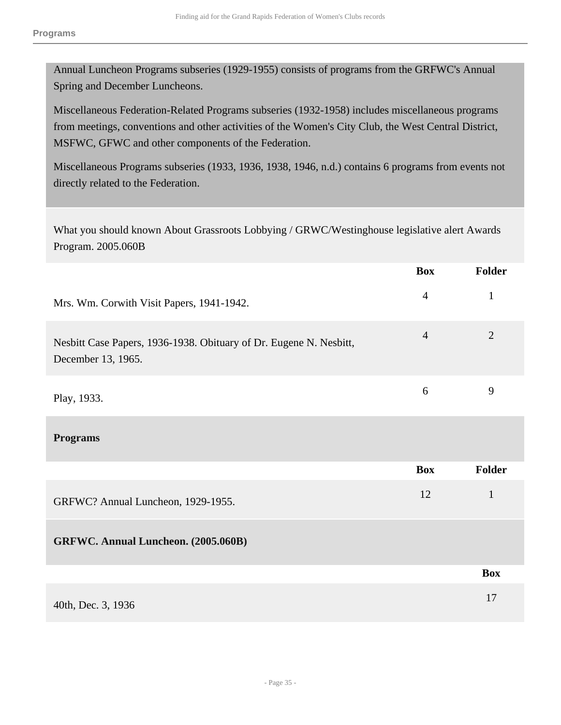Annual Luncheon Programs subseries (1929-1955) consists of programs from the GRFWC's Annual Spring and December Luncheons.

Miscellaneous Federation-Related Programs subseries (1932-1958) includes miscellaneous programs from meetings, conventions and other activities of the Women's City Club, the West Central District, MSFWC, GFWC and other components of the Federation.

Miscellaneous Programs subseries (1933, 1936, 1938, 1946, n.d.) contains 6 programs from events not directly related to the Federation.

What you should known About Grassroots Lobbying / GRWC/Westinghouse legislative alert Awards Program. 2005.060B

|                                                                                          | <b>Box</b>     | Folder         |
|------------------------------------------------------------------------------------------|----------------|----------------|
| Mrs. Wm. Corwith Visit Papers, 1941-1942.                                                | $\overline{4}$ | $\mathbf{1}$   |
| Nesbitt Case Papers, 1936-1938. Obituary of Dr. Eugene N. Nesbitt,<br>December 13, 1965. | $\overline{4}$ | $\overline{2}$ |
| Play, 1933.                                                                              | 6              | 9              |
| <b>Programs</b>                                                                          |                |                |
|                                                                                          | <b>Box</b>     | <b>Folder</b>  |
| GRFWC? Annual Luncheon, 1929-1955.                                                       | 12             | $\mathbf{1}$   |
| GRFWC. Annual Luncheon. (2005.060B)                                                      |                |                |
|                                                                                          |                | <b>Box</b>     |
| 40th, Dec. 3, 1936                                                                       |                | 17             |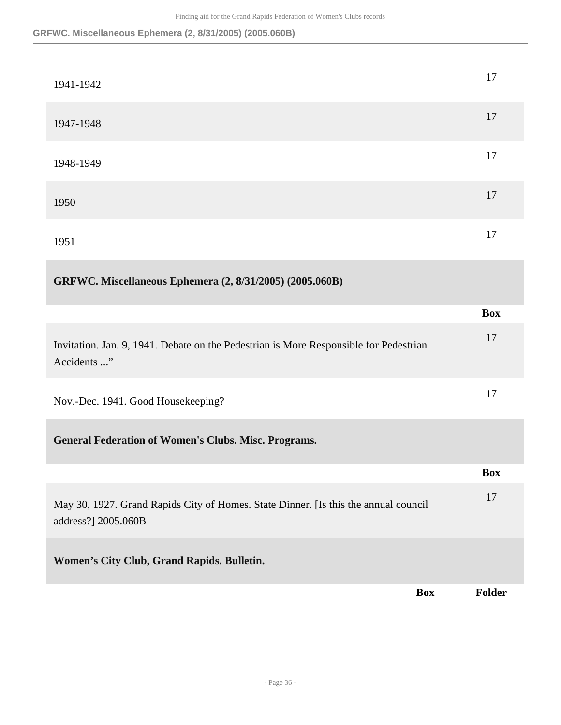### **GRFWC. Miscellaneous Ephemera (2, 8/31/2005) (2005.060B)**

| 1941-1942                                                                                                  | 17            |
|------------------------------------------------------------------------------------------------------------|---------------|
| 1947-1948                                                                                                  | 17            |
| 1948-1949                                                                                                  | 17            |
| 1950                                                                                                       | 17            |
| 1951                                                                                                       | 17            |
| GRFWC. Miscellaneous Ephemera (2, 8/31/2005) (2005.060B)                                                   |               |
|                                                                                                            | <b>Box</b>    |
| Invitation. Jan. 9, 1941. Debate on the Pedestrian is More Responsible for Pedestrian<br>Accidents "       | 17            |
| Nov.-Dec. 1941. Good Housekeeping?                                                                         | 17            |
| <b>General Federation of Women's Clubs. Misc. Programs.</b>                                                |               |
|                                                                                                            | <b>Box</b>    |
| May 30, 1927. Grand Rapids City of Homes. State Dinner. [Is this the annual council<br>address?] 2005.060B | 17            |
| Women's City Club, Grand Rapids. Bulletin.                                                                 |               |
| <b>Box</b>                                                                                                 | <b>Folder</b> |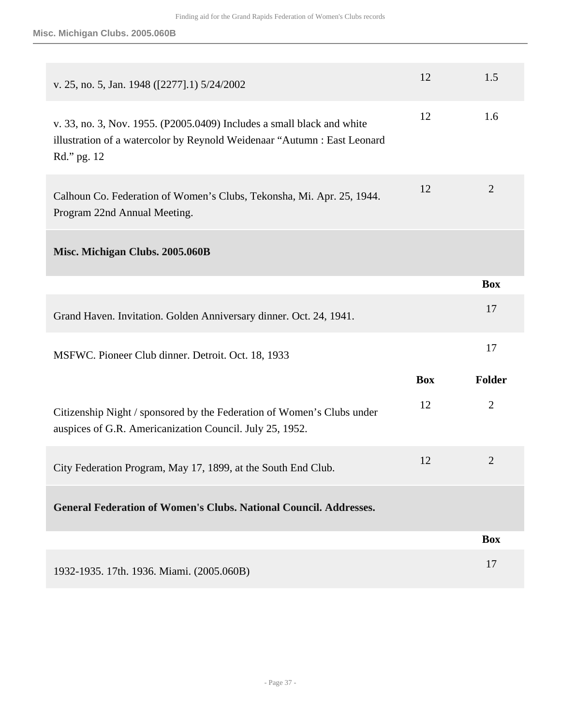| v. 25, no. 5, Jan. 1948 ([2277].1) 5/24/2002                                                                                                                      | 12         | 1.5            |
|-------------------------------------------------------------------------------------------------------------------------------------------------------------------|------------|----------------|
| v. 33, no. 3, Nov. 1955. (P2005.0409) Includes a small black and white<br>illustration of a watercolor by Reynold Weidenaar "Autumn : East Leonard<br>Rd." pg. 12 | 12         | 1.6            |
| Calhoun Co. Federation of Women's Clubs, Tekonsha, Mi. Apr. 25, 1944.<br>Program 22nd Annual Meeting.                                                             | 12         | $\overline{2}$ |
| Misc. Michigan Clubs. 2005.060B                                                                                                                                   |            |                |
|                                                                                                                                                                   |            | <b>Box</b>     |
| Grand Haven. Invitation. Golden Anniversary dinner. Oct. 24, 1941.                                                                                                |            | 17             |
| MSFWC. Pioneer Club dinner. Detroit. Oct. 18, 1933                                                                                                                |            | 17             |
|                                                                                                                                                                   | <b>Box</b> | Folder         |
| Citizenship Night / sponsored by the Federation of Women's Clubs under<br>auspices of G.R. Americanization Council. July 25, 1952.                                | 12         | $\overline{2}$ |
| City Federation Program, May 17, 1899, at the South End Club.                                                                                                     | 12         | $\overline{2}$ |
| <b>General Federation of Women's Clubs. National Council. Addresses.</b>                                                                                          |            |                |
|                                                                                                                                                                   |            | <b>Box</b>     |
| 1932-1935. 17th. 1936. Miami. (2005.060B)                                                                                                                         |            | 17             |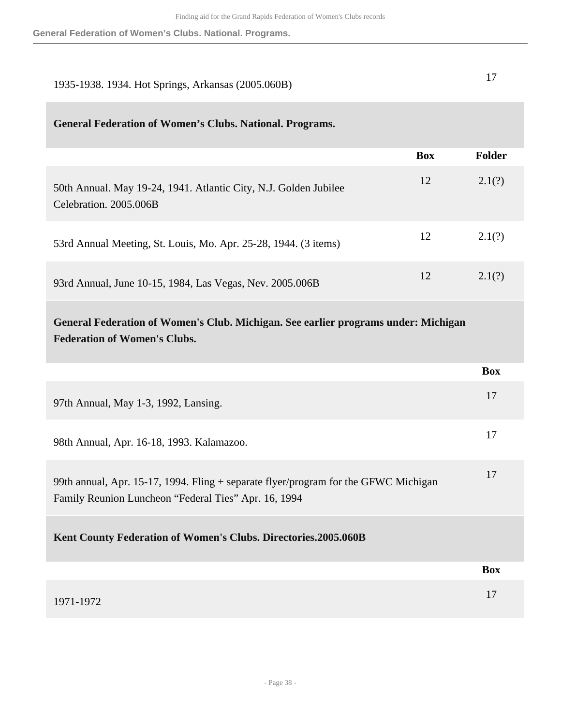| 1935-1938. 1934. Hot Springs, Arkansas (2005.060B)                                                                                          |            | 17         |
|---------------------------------------------------------------------------------------------------------------------------------------------|------------|------------|
| <b>General Federation of Women's Clubs. National. Programs.</b>                                                                             |            |            |
|                                                                                                                                             | <b>Box</b> | Folder     |
| 50th Annual. May 19-24, 1941. Atlantic City, N.J. Golden Jubilee<br>Celebration. 2005.006B                                                  | 12         | 2.1(?)     |
| 53rd Annual Meeting, St. Louis, Mo. Apr. 25-28, 1944. (3 items)                                                                             | 12         | 2.1(?)     |
| 93rd Annual, June 10-15, 1984, Las Vegas, Nev. 2005.006B                                                                                    | 12         | 2.1(?)     |
| General Federation of Women's Club. Michigan. See earlier programs under: Michigan<br><b>Federation of Women's Clubs.</b>                   |            |            |
|                                                                                                                                             |            | <b>Box</b> |
| 97th Annual, May 1-3, 1992, Lansing.                                                                                                        |            | 17         |
| 98th Annual, Apr. 16-18, 1993. Kalamazoo.                                                                                                   |            | 17         |
| 99th annual, Apr. 15-17, 1994. Fling + separate flyer/program for the GFWC Michigan<br>Family Reunion Luncheon "Federal Ties" Apr. 16, 1994 |            | 17         |
| Kent County Federation of Women's Clubs. Directories.2005.060B                                                                              |            |            |
|                                                                                                                                             |            |            |
|                                                                                                                                             |            | <b>Box</b> |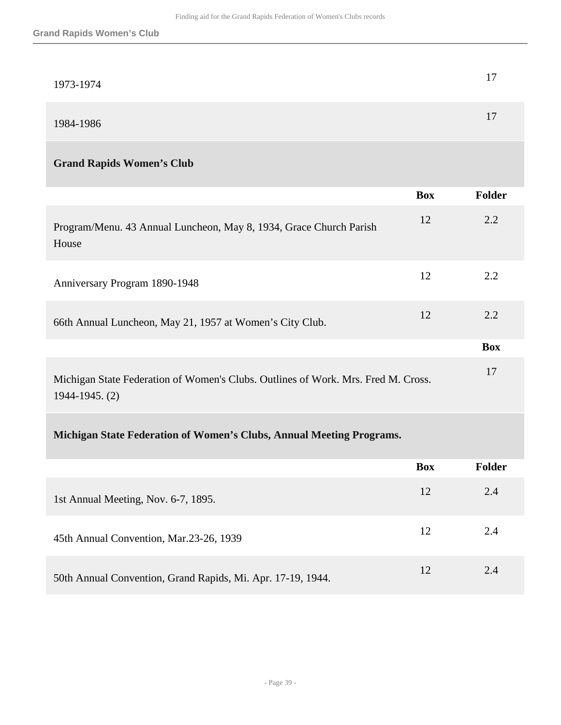| 1973-1974 |  |
|-----------|--|
| 1984-1986 |  |

## **Grand Rapids Women's Club**

|                                                                                                     | <b>Box</b> | <b>Folder</b> |
|-----------------------------------------------------------------------------------------------------|------------|---------------|
| Program/Menu. 43 Annual Luncheon, May 8, 1934, Grace Church Parish<br>House                         | 12         | 2.2           |
| Anniversary Program 1890-1948                                                                       | 12         | 2.2           |
| 66th Annual Luncheon, May 21, 1957 at Women's City Club.                                            | 12         | 2.2           |
|                                                                                                     |            | <b>Box</b>    |
| Michigan State Federation of Women's Clubs. Outlines of Work. Mrs. Fred M. Cross.<br>1944-1945. (2) |            | 17            |

## **Michigan State Federation of Women's Clubs, Annual Meeting Programs.**

|                                                             | <b>Box</b> | <b>Folder</b> |
|-------------------------------------------------------------|------------|---------------|
| 1st Annual Meeting, Nov. 6-7, 1895.                         | 12         | 2.4           |
| 45th Annual Convention, Mar.23-26, 1939                     | 12         | 2.4           |
| 50th Annual Convention, Grand Rapids, Mi. Apr. 17-19, 1944. | 12         | 2.4           |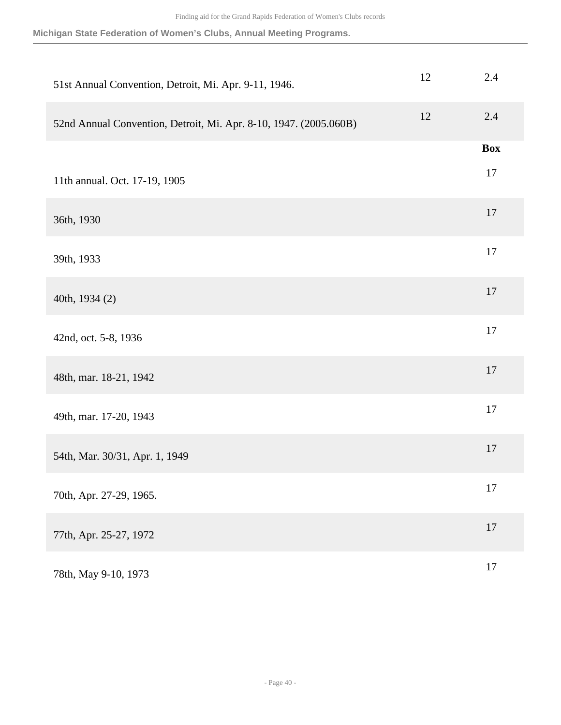**Michigan State Federation of Women's Clubs, Annual Meeting Programs.**

| 51st Annual Convention, Detroit, Mi. Apr. 9-11, 1946.             | 12 | 2.4        |
|-------------------------------------------------------------------|----|------------|
| 52nd Annual Convention, Detroit, Mi. Apr. 8-10, 1947. (2005.060B) | 12 | $2.4\,$    |
|                                                                   |    | <b>Box</b> |
| 11th annual. Oct. 17-19, 1905                                     |    | 17         |
| 36th, 1930                                                        |    | 17         |
| 39th, 1933                                                        |    | 17         |
| 40th, 1934 (2)                                                    |    | 17         |
| 42nd, oct. 5-8, 1936                                              |    | 17         |
| 48th, mar. 18-21, 1942                                            |    | $17$       |
| 49th, mar. 17-20, 1943                                            |    | 17         |
| 54th, Mar. 30/31, Apr. 1, 1949                                    |    | 17         |
| 70th, Apr. 27-29, 1965.                                           |    | $17\,$     |
| 77th, Apr. 25-27, 1972                                            |    | $17$       |
| 78th, May 9-10, 1973                                              |    | $17\,$     |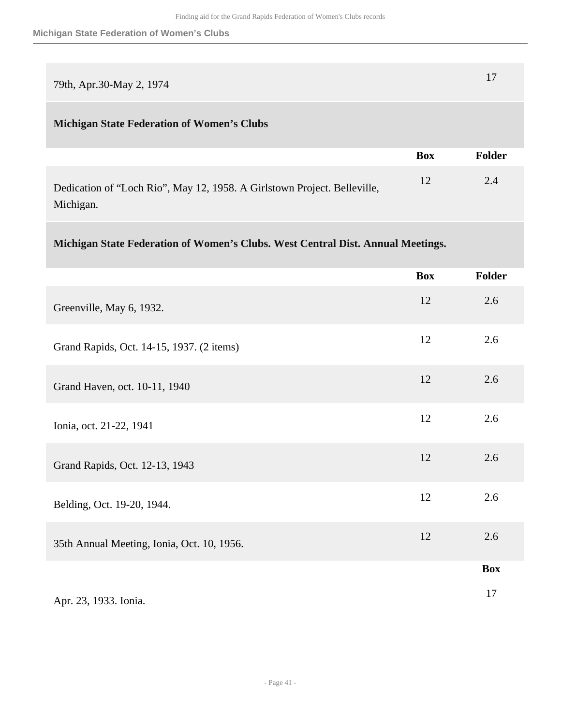| 79th, Apr.30-May 2, 1974                          |            | 17            |
|---------------------------------------------------|------------|---------------|
| <b>Michigan State Federation of Women's Clubs</b> |            |               |
|                                                   | <b>Box</b> | <b>Folder</b> |
|                                                   |            |               |

Dedication of "Loch Rio", May 12, 1958. A Girlstown Project. Belleville, Michigan. 12 2.4

## **Michigan State Federation of Women's Clubs. West Central Dist. Annual Meetings.**

|                                            | <b>Box</b> | Folder     |
|--------------------------------------------|------------|------------|
| Greenville, May 6, 1932.                   | 12         | 2.6        |
| Grand Rapids, Oct. 14-15, 1937. (2 items)  | 12         | 2.6        |
| Grand Haven, oct. 10-11, 1940              | 12         | 2.6        |
| Ionia, oct. 21-22, 1941                    | 12         | 2.6        |
| Grand Rapids, Oct. 12-13, 1943             | 12         | 2.6        |
| Belding, Oct. 19-20, 1944.                 | 12         | 2.6        |
| 35th Annual Meeting, Ionia, Oct. 10, 1956. | 12         | 2.6        |
|                                            |            | <b>Box</b> |
| Apr. 23, 1933. Ionia.                      |            | 17         |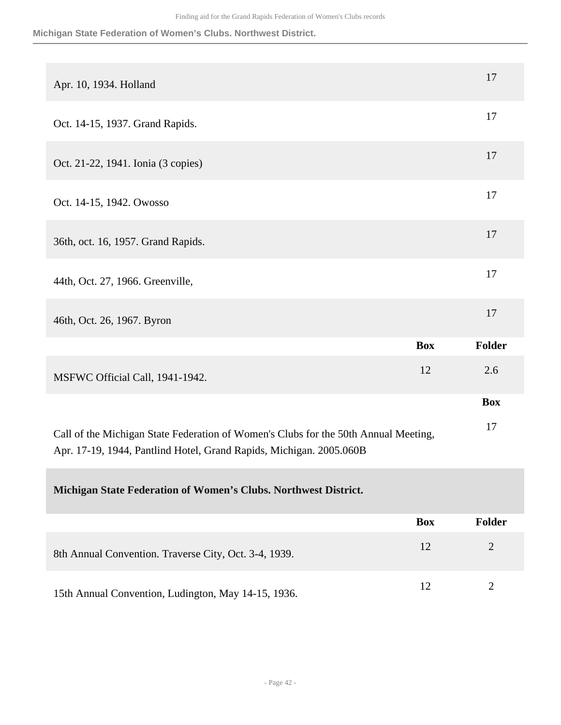#### **Michigan State Federation of Women's Clubs. Northwest District.**

| Apr. 10, 1934. Holland                                                              |            | 17         |
|-------------------------------------------------------------------------------------|------------|------------|
| Oct. 14-15, 1937. Grand Rapids.                                                     |            | 17         |
| Oct. 21-22, 1941. Ionia (3 copies)                                                  |            | 17         |
| Oct. 14-15, 1942. Owosso                                                            |            | 17         |
| 36th, oct. 16, 1957. Grand Rapids.                                                  |            | 17         |
| 44th, Oct. 27, 1966. Greenville,                                                    |            | 17         |
| 46th, Oct. 26, 1967. Byron                                                          |            | 17         |
|                                                                                     | <b>Box</b> | Folder     |
| MSFWC Official Call, 1941-1942.                                                     | 12         | 2.6        |
|                                                                                     |            | <b>Box</b> |
| Call of the Michigan State Federation of Women's Clubs for the 50th Annual Meeting, |            | 17         |

Apr. 17-19, 1944, Pantlind Hotel, Grand Rapids, Michigan. 2005.060B

### **Michigan State Federation of Women's Clubs. Northwest District.**

|                                                       | <b>Box</b> | Folder |
|-------------------------------------------------------|------------|--------|
| 8th Annual Convention. Traverse City, Oct. 3-4, 1939. | 12         |        |
| 15th Annual Convention, Ludington, May 14-15, 1936.   | 12         |        |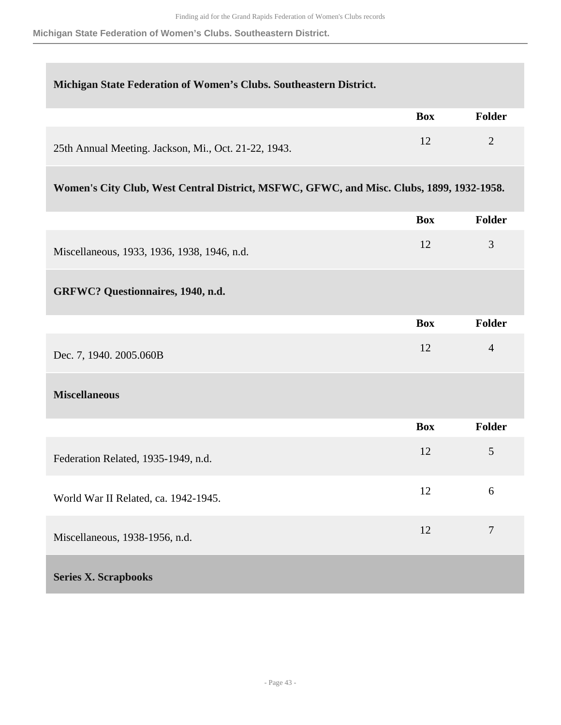**Michigan State Federation of Women's Clubs. Southeastern District.**

#### **Michigan State Federation of Women's Clubs. Southeastern District.**

|                                                      | <b>Box</b> | <b>Folder</b> |
|------------------------------------------------------|------------|---------------|
| 25th Annual Meeting. Jackson, Mi., Oct. 21-22, 1943. |            |               |

## **Women's City Club, West Central District, MSFWC, GFWC, and Misc. Clubs, 1899, 1932-1958.**

<span id="page-42-0"></span>

|                                             | <b>Box</b> | <b>Folder</b>  |
|---------------------------------------------|------------|----------------|
| Miscellaneous, 1933, 1936, 1938, 1946, n.d. | 12         | 3              |
| GRFWC? Questionnaires, 1940, n.d.           |            |                |
|                                             | <b>Box</b> | <b>Folder</b>  |
| Dec. 7, 1940. 2005.060B                     | 12         | $\overline{4}$ |
| <b>Miscellaneous</b>                        |            |                |
|                                             | <b>Box</b> | <b>Folder</b>  |
| Federation Related, 1935-1949, n.d.         | 12         | 5              |
| World War II Related, ca. 1942-1945.        | 12         | 6              |
| Miscellaneous, 1938-1956, n.d.              | 12         | $\overline{7}$ |
| <b>Series X. Scrapbooks</b>                 |            |                |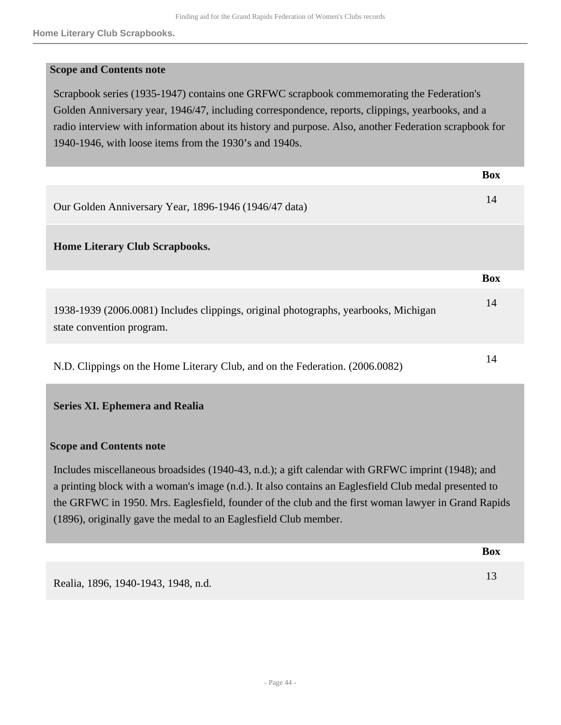#### **Scope and Contents note**

Scrapbook series (1935-1947) contains one GRFWC scrapbook commemorating the Federation's Golden Anniversary year, 1946/47, including correspondence, reports, clippings, yearbooks, and a radio interview with information about its history and purpose. Also, another Federation scrapbook for 1940-1946, with loose items from the 1930's and 1940s.

|                                                                                                                  | <b>Box</b> |
|------------------------------------------------------------------------------------------------------------------|------------|
| Our Golden Anniversary Year, 1896-1946 (1946/47 data)                                                            | 14         |
| <b>Home Literary Club Scrapbooks.</b>                                                                            |            |
|                                                                                                                  | <b>Box</b> |
| 1938-1939 (2006.0081) Includes clippings, original photographs, yearbooks, Michigan<br>state convention program. | 14         |
| N.D. Clippings on the Home Literary Club, and on the Federation. (2006.0082)                                     | 14         |

#### <span id="page-43-0"></span>**Series XI. Ephemera and Realia**

#### **Scope and Contents note**

Includes miscellaneous broadsides (1940-43, n.d.); a gift calendar with GRFWC imprint (1948); and a printing block with a woman's image (n.d.). It also contains an Eaglesfield Club medal presented to the GRFWC in 1950. Mrs. Eaglesfield, founder of the club and the first woman lawyer in Grand Rapids (1896), originally gave the medal to an Eaglesfield Club member.

|                                     | <b>Box</b> |
|-------------------------------------|------------|
| Realia, 1896, 1940-1943, 1948, n.d. |            |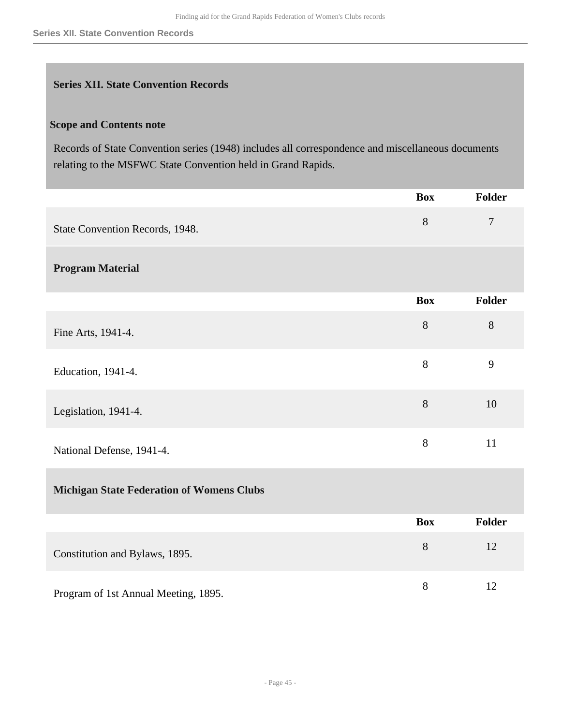#### <span id="page-44-0"></span>**Series XII. State Convention Records**

## **Scope and Contents note**

Records of State Convention series (1948) includes all correspondence and miscellaneous documents relating to the MSFWC State Convention held in Grand Rapids.

|                                                  | <b>Box</b> | <b>Folder</b>  |
|--------------------------------------------------|------------|----------------|
| State Convention Records, 1948.                  | 8          | $\overline{7}$ |
| <b>Program Material</b>                          |            |                |
|                                                  | <b>Box</b> | <b>Folder</b>  |
| Fine Arts, 1941-4.                               | 8          | $8\,$          |
| Education, 1941-4.                               | 8          | 9              |
| Legislation, 1941-4.                             | 8          | 10             |
| National Defense, 1941-4.                        | 8          | 11             |
| <b>Michigan State Federation of Womens Clubs</b> |            |                |
|                                                  | <b>Box</b> | <b>Folder</b>  |
| Constitution and Bylaws, 1895.                   | 8          | 12             |
| Program of 1st Annual Meeting, 1895.             | $8\,$      | 12             |